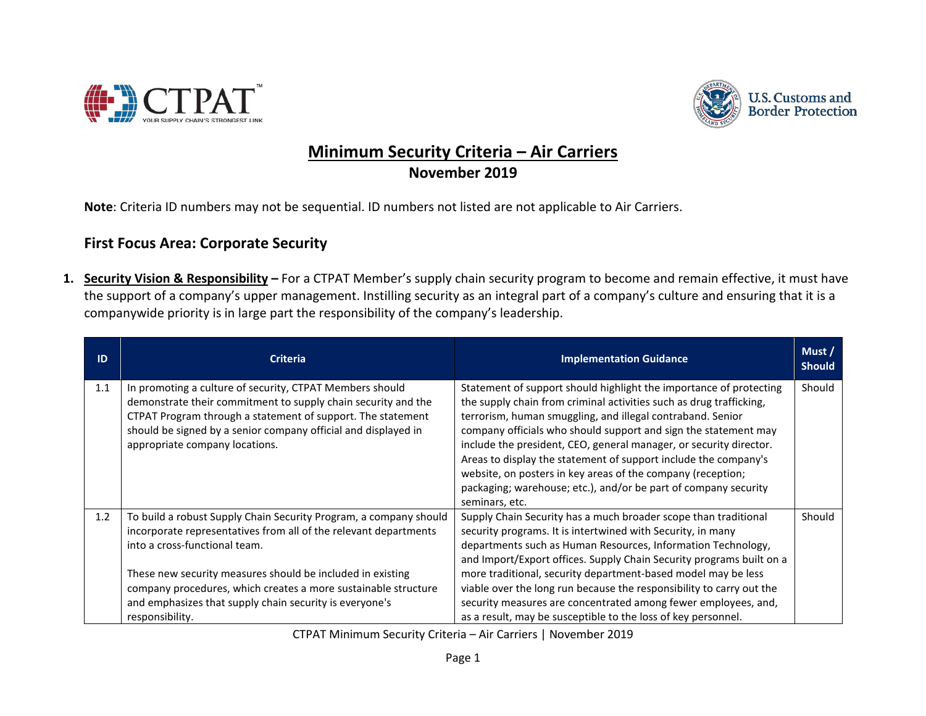



## **Minimum Security Criteria – Air Carriers November 2019**

**Note**: Criteria ID numbers may not be sequential. ID numbers not listed are not applicable to Air Carriers.

## **First Focus Area: Corporate Security**

**1. Security Vision & Responsibility –** For a CTPAT Member's supply chain security program to become and remain effective, it must have the support of a company's upper management. Instilling security as an integral part of a company's culture and ensuring that it is a companywide priority is in large part the responsibility of the company's leadership.

| ID  | <b>Criteria</b>                                                                                                                                                                                                                                                                                                                                                                      | <b>Implementation Guidance</b>                                                                                                                                                                                                                                                                                                                                                                                                                                                                                                                                          | Must /<br><b>Should</b> |
|-----|--------------------------------------------------------------------------------------------------------------------------------------------------------------------------------------------------------------------------------------------------------------------------------------------------------------------------------------------------------------------------------------|-------------------------------------------------------------------------------------------------------------------------------------------------------------------------------------------------------------------------------------------------------------------------------------------------------------------------------------------------------------------------------------------------------------------------------------------------------------------------------------------------------------------------------------------------------------------------|-------------------------|
| 1.1 | In promoting a culture of security, CTPAT Members should<br>demonstrate their commitment to supply chain security and the<br>CTPAT Program through a statement of support. The statement<br>should be signed by a senior company official and displayed in<br>appropriate company locations.                                                                                         | Statement of support should highlight the importance of protecting<br>the supply chain from criminal activities such as drug trafficking,<br>terrorism, human smuggling, and illegal contraband. Senior<br>company officials who should support and sign the statement may<br>include the president, CEO, general manager, or security director.<br>Areas to display the statement of support include the company's<br>website, on posters in key areas of the company (reception;<br>packaging; warehouse; etc.), and/or be part of company security<br>seminars, etc. | Should                  |
| 1.2 | To build a robust Supply Chain Security Program, a company should<br>incorporate representatives from all of the relevant departments<br>into a cross-functional team.<br>These new security measures should be included in existing<br>company procedures, which creates a more sustainable structure<br>and emphasizes that supply chain security is everyone's<br>responsibility. | Supply Chain Security has a much broader scope than traditional<br>security programs. It is intertwined with Security, in many<br>departments such as Human Resources, Information Technology,<br>and Import/Export offices. Supply Chain Security programs built on a<br>more traditional, security department-based model may be less<br>viable over the long run because the responsibility to carry out the<br>security measures are concentrated among fewer employees, and,<br>as a result, may be susceptible to the loss of key personnel.                      | Should                  |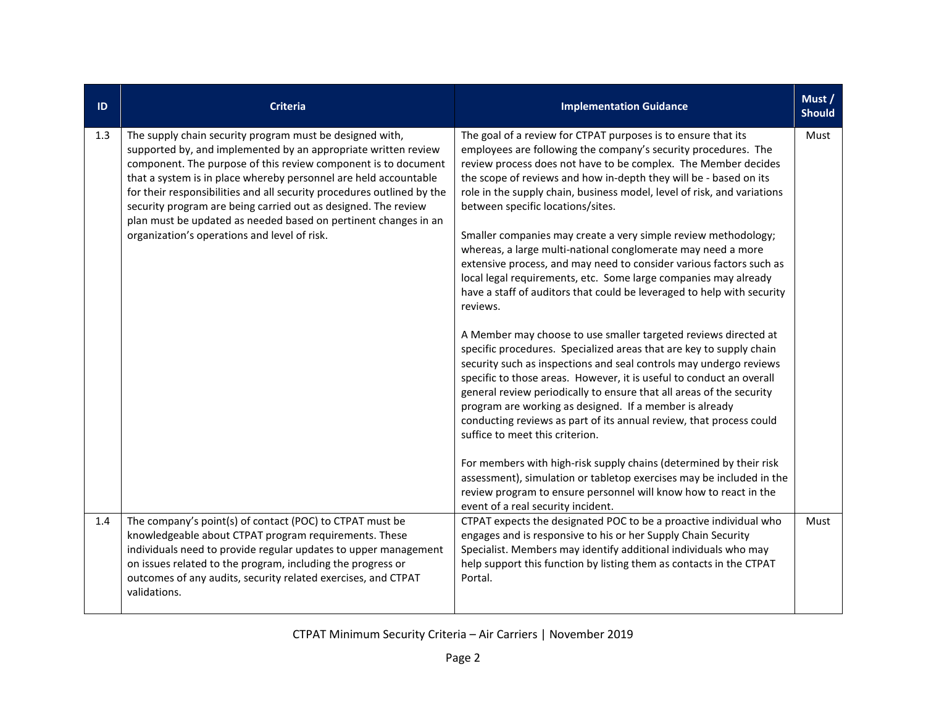| ID  | <b>Criteria</b>                                                                                                                                                                                                                                                                                                                                                                                                                                                                                                                 | <b>Implementation Guidance</b>                                                                                                                                                                                                                                                                                                                                                                                                                                                                                                                                                                                                                                                                                                                                                                                                                                                                                                                                                                                                                                                                                                                                                                                                                                                                                                                                                                                                                                                                                                                        | Must /<br><b>Should</b> |
|-----|---------------------------------------------------------------------------------------------------------------------------------------------------------------------------------------------------------------------------------------------------------------------------------------------------------------------------------------------------------------------------------------------------------------------------------------------------------------------------------------------------------------------------------|-------------------------------------------------------------------------------------------------------------------------------------------------------------------------------------------------------------------------------------------------------------------------------------------------------------------------------------------------------------------------------------------------------------------------------------------------------------------------------------------------------------------------------------------------------------------------------------------------------------------------------------------------------------------------------------------------------------------------------------------------------------------------------------------------------------------------------------------------------------------------------------------------------------------------------------------------------------------------------------------------------------------------------------------------------------------------------------------------------------------------------------------------------------------------------------------------------------------------------------------------------------------------------------------------------------------------------------------------------------------------------------------------------------------------------------------------------------------------------------------------------------------------------------------------------|-------------------------|
| 1.3 | The supply chain security program must be designed with,<br>supported by, and implemented by an appropriate written review<br>component. The purpose of this review component is to document<br>that a system is in place whereby personnel are held accountable<br>for their responsibilities and all security procedures outlined by the<br>security program are being carried out as designed. The review<br>plan must be updated as needed based on pertinent changes in an<br>organization's operations and level of risk. | The goal of a review for CTPAT purposes is to ensure that its<br>employees are following the company's security procedures. The<br>review process does not have to be complex. The Member decides<br>the scope of reviews and how in-depth they will be - based on its<br>role in the supply chain, business model, level of risk, and variations<br>between specific locations/sites.<br>Smaller companies may create a very simple review methodology;<br>whereas, a large multi-national conglomerate may need a more<br>extensive process, and may need to consider various factors such as<br>local legal requirements, etc. Some large companies may already<br>have a staff of auditors that could be leveraged to help with security<br>reviews.<br>A Member may choose to use smaller targeted reviews directed at<br>specific procedures. Specialized areas that are key to supply chain<br>security such as inspections and seal controls may undergo reviews<br>specific to those areas. However, it is useful to conduct an overall<br>general review periodically to ensure that all areas of the security<br>program are working as designed. If a member is already<br>conducting reviews as part of its annual review, that process could<br>suffice to meet this criterion.<br>For members with high-risk supply chains (determined by their risk<br>assessment), simulation or tabletop exercises may be included in the<br>review program to ensure personnel will know how to react in the<br>event of a real security incident. | Must                    |
| 1.4 | The company's point(s) of contact (POC) to CTPAT must be<br>knowledgeable about CTPAT program requirements. These<br>individuals need to provide regular updates to upper management<br>on issues related to the program, including the progress or<br>outcomes of any audits, security related exercises, and CTPAT<br>validations.                                                                                                                                                                                            | CTPAT expects the designated POC to be a proactive individual who<br>engages and is responsive to his or her Supply Chain Security<br>Specialist. Members may identify additional individuals who may<br>help support this function by listing them as contacts in the CTPAT<br>Portal.                                                                                                                                                                                                                                                                                                                                                                                                                                                                                                                                                                                                                                                                                                                                                                                                                                                                                                                                                                                                                                                                                                                                                                                                                                                               | Must                    |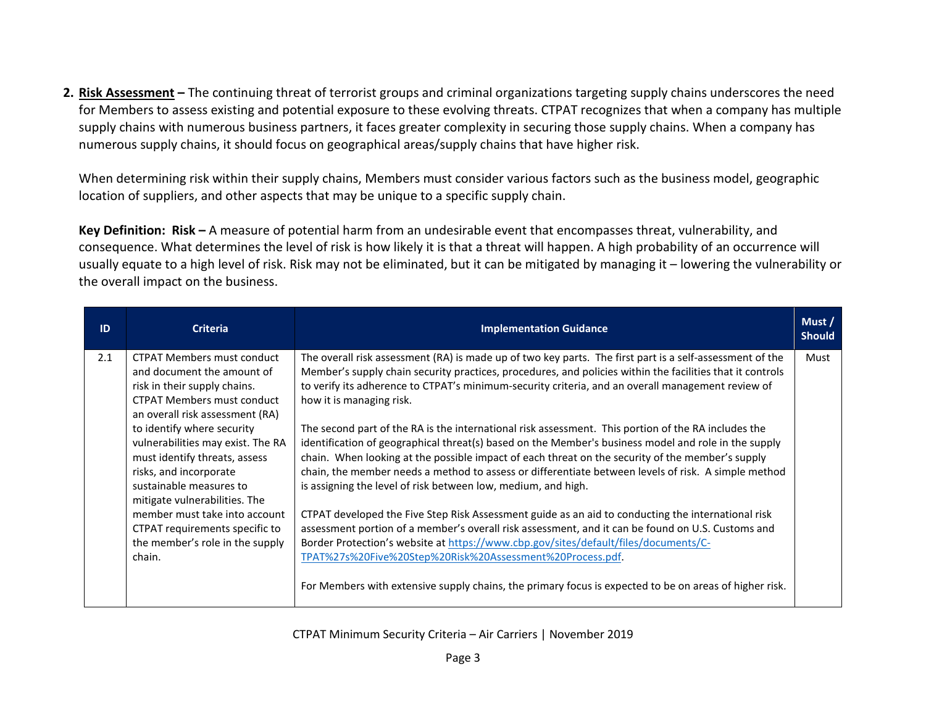**2. Risk Assessment –** The continuing threat of terrorist groups and criminal organizations targeting supply chains underscores the need for Members to assess existing and potential exposure to these evolving threats. CTPAT recognizes that when a company has multiple supply chains with numerous business partners, it faces greater complexity in securing those supply chains. When a company has numerous supply chains, it should focus on geographical areas/supply chains that have higher risk.

When determining risk within their supply chains, Members must consider various factors such as the business model, geographic location of suppliers, and other aspects that may be unique to a specific supply chain.

**Key Definition: Risk –** A measure of potential harm from an undesirable event that encompasses threat, vulnerability, and consequence. What determines the level of risk is how likely it is that a threat will happen. A high probability of an occurrence will usually equate to a high level of risk. Risk may not be eliminated, but it can be mitigated by managing it – lowering the vulnerability or the overall impact on the business.

|                                                                                                                                                                                                                                                                                                                                                                                                                                                                                   |                                                                                                                                                                                                                                                                                                                                                                                                                                                                                                                                                                                                                                                                                                                                                                                                                                                                                                                                                                                                                                                                                                                                                                                                                                                                                                                           | <b>Should</b> |
|-----------------------------------------------------------------------------------------------------------------------------------------------------------------------------------------------------------------------------------------------------------------------------------------------------------------------------------------------------------------------------------------------------------------------------------------------------------------------------------|---------------------------------------------------------------------------------------------------------------------------------------------------------------------------------------------------------------------------------------------------------------------------------------------------------------------------------------------------------------------------------------------------------------------------------------------------------------------------------------------------------------------------------------------------------------------------------------------------------------------------------------------------------------------------------------------------------------------------------------------------------------------------------------------------------------------------------------------------------------------------------------------------------------------------------------------------------------------------------------------------------------------------------------------------------------------------------------------------------------------------------------------------------------------------------------------------------------------------------------------------------------------------------------------------------------------------|---------------|
| <b>CTPAT Members must conduct</b><br>and document the amount of<br>risk in their supply chains.<br><b>CTPAT Members must conduct</b><br>an overall risk assessment (RA)<br>to identify where security<br>vulnerabilities may exist. The RA<br>must identify threats, assess<br>risks, and incorporate<br>sustainable measures to<br>mitigate vulnerabilities. The<br>member must take into account<br>CTPAT requirements specific to<br>the member's role in the supply<br>chain. | The overall risk assessment (RA) is made up of two key parts. The first part is a self-assessment of the<br>Member's supply chain security practices, procedures, and policies within the facilities that it controls<br>to verify its adherence to CTPAT's minimum-security criteria, and an overall management review of<br>how it is managing risk.<br>The second part of the RA is the international risk assessment. This portion of the RA includes the<br>identification of geographical threat(s) based on the Member's business model and role in the supply<br>chain. When looking at the possible impact of each threat on the security of the member's supply<br>chain, the member needs a method to assess or differentiate between levels of risk. A simple method<br>is assigning the level of risk between low, medium, and high.<br>CTPAT developed the Five Step Risk Assessment guide as an aid to conducting the international risk<br>assessment portion of a member's overall risk assessment, and it can be found on U.S. Customs and<br>Border Protection's website at https://www.cbp.gov/sites/default/files/documents/C-<br>TPAT%27s%20Five%20Step%20Risk%20Assessment%20Process.pdf<br>For Members with extensive supply chains, the primary focus is expected to be on areas of higher risk. | Must          |
|                                                                                                                                                                                                                                                                                                                                                                                                                                                                                   |                                                                                                                                                                                                                                                                                                                                                                                                                                                                                                                                                                                                                                                                                                                                                                                                                                                                                                                                                                                                                                                                                                                                                                                                                                                                                                                           |               |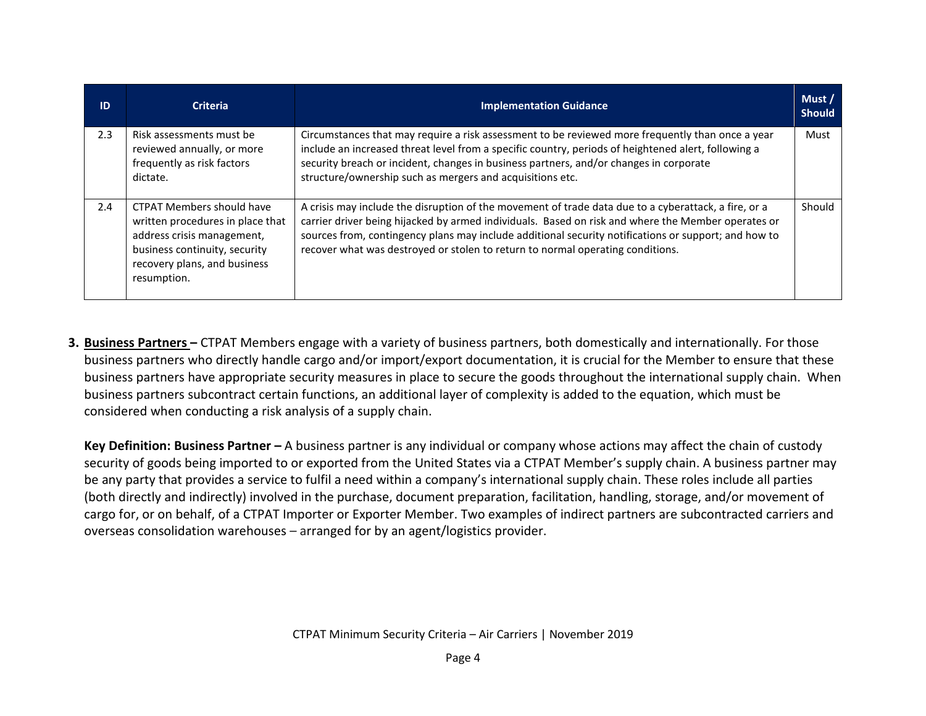| ID  | <b>Criteria</b>                                                                                                                                                                    | <b>Implementation Guidance</b>                                                                                                                                                                                                                                                                                                                                                                       | Must /<br><b>Should</b> |
|-----|------------------------------------------------------------------------------------------------------------------------------------------------------------------------------------|------------------------------------------------------------------------------------------------------------------------------------------------------------------------------------------------------------------------------------------------------------------------------------------------------------------------------------------------------------------------------------------------------|-------------------------|
| 2.3 | Risk assessments must be<br>reviewed annually, or more<br>frequently as risk factors<br>dictate.                                                                                   | Circumstances that may require a risk assessment to be reviewed more frequently than once a year<br>include an increased threat level from a specific country, periods of heightened alert, following a<br>security breach or incident, changes in business partners, and/or changes in corporate<br>structure/ownership such as mergers and acquisitions etc.                                       | Must                    |
| 2.4 | <b>CTPAT Members should have</b><br>written procedures in place that<br>address crisis management,<br>business continuity, security<br>recovery plans, and business<br>resumption. | A crisis may include the disruption of the movement of trade data due to a cyberattack, a fire, or a<br>carrier driver being hijacked by armed individuals. Based on risk and where the Member operates or<br>sources from, contingency plans may include additional security notifications or support; and how to<br>recover what was destroyed or stolen to return to normal operating conditions. | Should                  |

**3. Business Partners –** CTPAT Members engage with a variety of business partners, both domestically and internationally. For those business partners who directly handle cargo and/or import/export documentation, it is crucial for the Member to ensure that these business partners have appropriate security measures in place to secure the goods throughout the international supply chain. When business partners subcontract certain functions, an additional layer of complexity is added to the equation, which must be considered when conducting a risk analysis of a supply chain.

**Key Definition: Business Partner –** A business partner is any individual or company whose actions may affect the chain of custody security of goods being imported to or exported from the United States via a CTPAT Member's supply chain. A business partner may be any party that provides a service to fulfil a need within a company's international supply chain. These roles include all parties (both directly and indirectly) involved in the purchase, document preparation, facilitation, handling, storage, and/or movement of cargo for, or on behalf, of a CTPAT Importer or Exporter Member. Two examples of indirect partners are subcontracted carriers and overseas consolidation warehouses – arranged for by an agent/logistics provider.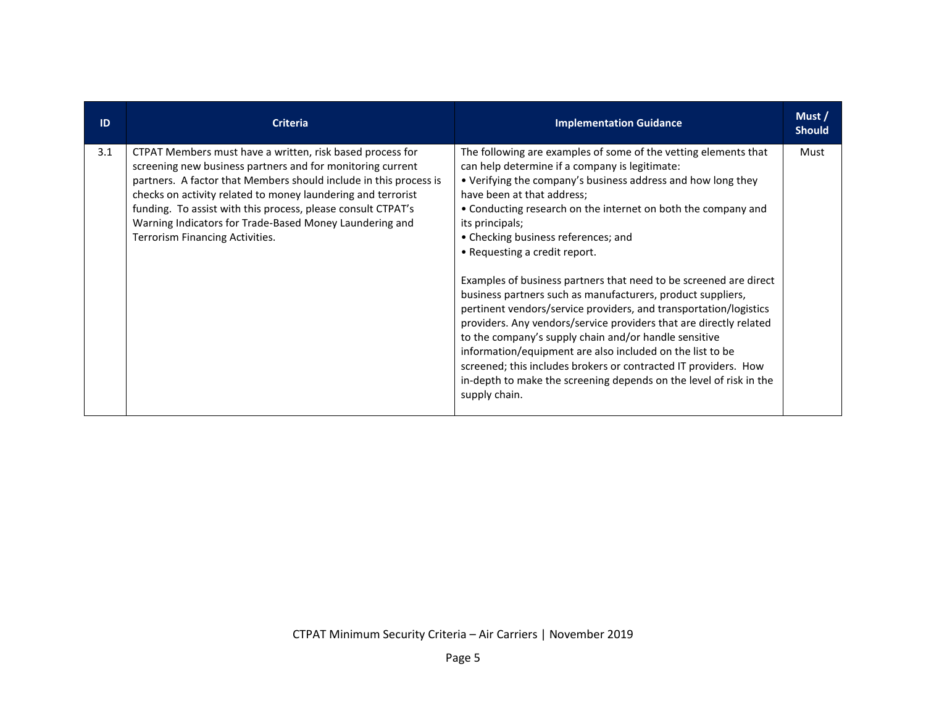| ID  | <b>Criteria</b>                                                                                                                                                                                                                                                                                                                                                                                                            | <b>Implementation Guidance</b>                                                                                                                                                                                                                                                                                                                                                                                                                                                                                                                                                                                                                                                                                                                                                                                                                                                                                                             | Must/<br><b>Should</b> |
|-----|----------------------------------------------------------------------------------------------------------------------------------------------------------------------------------------------------------------------------------------------------------------------------------------------------------------------------------------------------------------------------------------------------------------------------|--------------------------------------------------------------------------------------------------------------------------------------------------------------------------------------------------------------------------------------------------------------------------------------------------------------------------------------------------------------------------------------------------------------------------------------------------------------------------------------------------------------------------------------------------------------------------------------------------------------------------------------------------------------------------------------------------------------------------------------------------------------------------------------------------------------------------------------------------------------------------------------------------------------------------------------------|------------------------|
| 3.1 | CTPAT Members must have a written, risk based process for<br>screening new business partners and for monitoring current<br>partners. A factor that Members should include in this process is<br>checks on activity related to money laundering and terrorist<br>funding. To assist with this process, please consult CTPAT's<br>Warning Indicators for Trade-Based Money Laundering and<br>Terrorism Financing Activities. | The following are examples of some of the vetting elements that<br>can help determine if a company is legitimate:<br>• Verifying the company's business address and how long they<br>have been at that address;<br>• Conducting research on the internet on both the company and<br>its principals;<br>• Checking business references; and<br>• Requesting a credit report.<br>Examples of business partners that need to be screened are direct<br>business partners such as manufacturers, product suppliers,<br>pertinent vendors/service providers, and transportation/logistics<br>providers. Any vendors/service providers that are directly related<br>to the company's supply chain and/or handle sensitive<br>information/equipment are also included on the list to be<br>screened; this includes brokers or contracted IT providers. How<br>in-depth to make the screening depends on the level of risk in the<br>supply chain. | Must                   |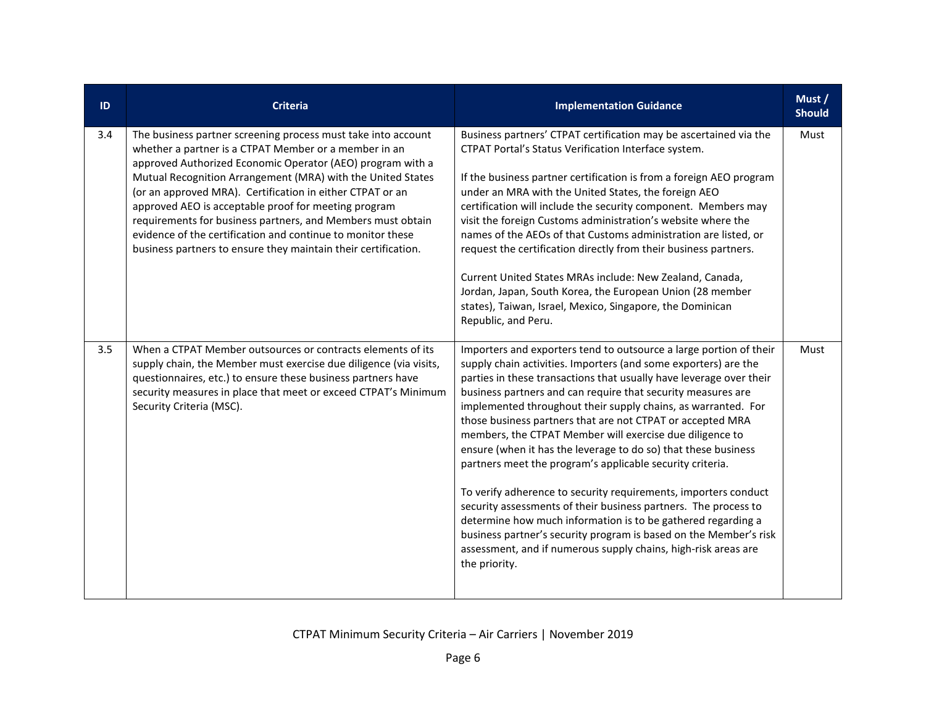| ID  | <b>Criteria</b>                                                                                                                                                                                                                                                                                                                                                                                                                                                                                                                                                          | <b>Implementation Guidance</b>                                                                                                                                                                                                                                                                                                                                                                                                                                                                                                                                                                                                                                                                                                                                                                                                                                                                                                                                       | Must /<br><b>Should</b> |
|-----|--------------------------------------------------------------------------------------------------------------------------------------------------------------------------------------------------------------------------------------------------------------------------------------------------------------------------------------------------------------------------------------------------------------------------------------------------------------------------------------------------------------------------------------------------------------------------|----------------------------------------------------------------------------------------------------------------------------------------------------------------------------------------------------------------------------------------------------------------------------------------------------------------------------------------------------------------------------------------------------------------------------------------------------------------------------------------------------------------------------------------------------------------------------------------------------------------------------------------------------------------------------------------------------------------------------------------------------------------------------------------------------------------------------------------------------------------------------------------------------------------------------------------------------------------------|-------------------------|
| 3.4 | The business partner screening process must take into account<br>whether a partner is a CTPAT Member or a member in an<br>approved Authorized Economic Operator (AEO) program with a<br>Mutual Recognition Arrangement (MRA) with the United States<br>(or an approved MRA). Certification in either CTPAT or an<br>approved AEO is acceptable proof for meeting program<br>requirements for business partners, and Members must obtain<br>evidence of the certification and continue to monitor these<br>business partners to ensure they maintain their certification. | Business partners' CTPAT certification may be ascertained via the<br>CTPAT Portal's Status Verification Interface system.<br>If the business partner certification is from a foreign AEO program<br>under an MRA with the United States, the foreign AEO<br>certification will include the security component. Members may<br>visit the foreign Customs administration's website where the<br>names of the AEOs of that Customs administration are listed, or<br>request the certification directly from their business partners.<br>Current United States MRAs include: New Zealand, Canada,<br>Jordan, Japan, South Korea, the European Union (28 member<br>states), Taiwan, Israel, Mexico, Singapore, the Dominican<br>Republic, and Peru.                                                                                                                                                                                                                       | Must                    |
| 3.5 | When a CTPAT Member outsources or contracts elements of its<br>supply chain, the Member must exercise due diligence (via visits,<br>questionnaires, etc.) to ensure these business partners have<br>security measures in place that meet or exceed CTPAT's Minimum<br>Security Criteria (MSC).                                                                                                                                                                                                                                                                           | Importers and exporters tend to outsource a large portion of their<br>supply chain activities. Importers (and some exporters) are the<br>parties in these transactions that usually have leverage over their<br>business partners and can require that security measures are<br>implemented throughout their supply chains, as warranted. For<br>those business partners that are not CTPAT or accepted MRA<br>members, the CTPAT Member will exercise due diligence to<br>ensure (when it has the leverage to do so) that these business<br>partners meet the program's applicable security criteria.<br>To verify adherence to security requirements, importers conduct<br>security assessments of their business partners. The process to<br>determine how much information is to be gathered regarding a<br>business partner's security program is based on the Member's risk<br>assessment, and if numerous supply chains, high-risk areas are<br>the priority. | Must                    |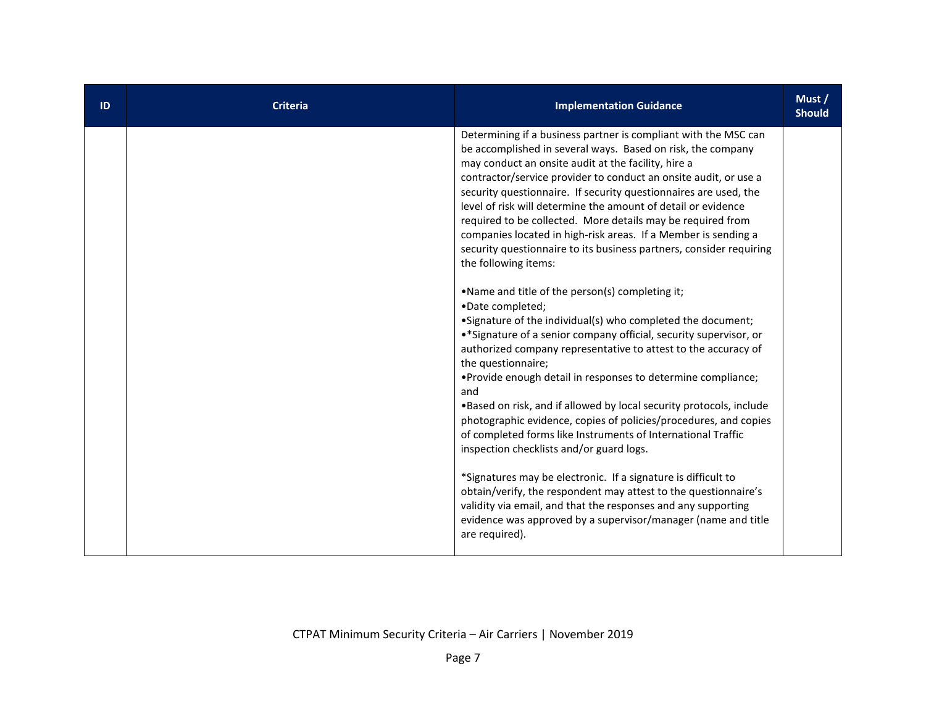| ID | <b>Criteria</b> | <b>Implementation Guidance</b>                                                                                                                                                                                                                                                                                                                                                                                                                                                                                                                                                                                                                                                                                                                                                                                                                                                                                                                                                                                                                                                                                                                                                                                                                                                                                                                                                                                                                                                                                                                              | Must /<br><b>Should</b> |
|----|-----------------|-------------------------------------------------------------------------------------------------------------------------------------------------------------------------------------------------------------------------------------------------------------------------------------------------------------------------------------------------------------------------------------------------------------------------------------------------------------------------------------------------------------------------------------------------------------------------------------------------------------------------------------------------------------------------------------------------------------------------------------------------------------------------------------------------------------------------------------------------------------------------------------------------------------------------------------------------------------------------------------------------------------------------------------------------------------------------------------------------------------------------------------------------------------------------------------------------------------------------------------------------------------------------------------------------------------------------------------------------------------------------------------------------------------------------------------------------------------------------------------------------------------------------------------------------------------|-------------------------|
|    |                 | Determining if a business partner is compliant with the MSC can<br>be accomplished in several ways. Based on risk, the company<br>may conduct an onsite audit at the facility, hire a<br>contractor/service provider to conduct an onsite audit, or use a<br>security questionnaire. If security questionnaires are used, the<br>level of risk will determine the amount of detail or evidence<br>required to be collected. More details may be required from<br>companies located in high-risk areas. If a Member is sending a<br>security questionnaire to its business partners, consider requiring<br>the following items:<br>.Name and title of the person(s) completing it;<br>•Date completed;<br>• Signature of the individual(s) who completed the document;<br>•* Signature of a senior company official, security supervisor, or<br>authorized company representative to attest to the accuracy of<br>the questionnaire;<br>• Provide enough detail in responses to determine compliance;<br>and<br>. Based on risk, and if allowed by local security protocols, include<br>photographic evidence, copies of policies/procedures, and copies<br>of completed forms like Instruments of International Traffic<br>inspection checklists and/or guard logs.<br>*Signatures may be electronic. If a signature is difficult to<br>obtain/verify, the respondent may attest to the questionnaire's<br>validity via email, and that the responses and any supporting<br>evidence was approved by a supervisor/manager (name and title<br>are required). |                         |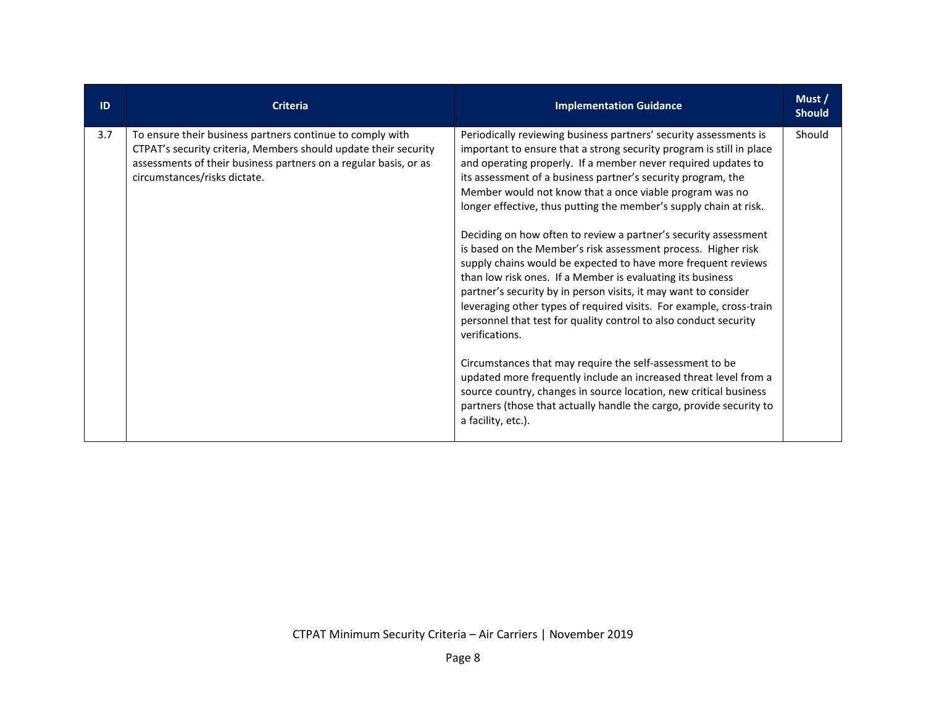| ID  | <b>Criteria</b>                                                                                                                                                                                                                  | <b>Implementation Guidance</b>                                                                                                                                                                                                                                                                                                                                                                                                                                                                                                                                                                                                                                                                                                                                                                                                                                                                                                                                                                                                                                                                                                                                                                                  | Must/<br><b>Should</b> |
|-----|----------------------------------------------------------------------------------------------------------------------------------------------------------------------------------------------------------------------------------|-----------------------------------------------------------------------------------------------------------------------------------------------------------------------------------------------------------------------------------------------------------------------------------------------------------------------------------------------------------------------------------------------------------------------------------------------------------------------------------------------------------------------------------------------------------------------------------------------------------------------------------------------------------------------------------------------------------------------------------------------------------------------------------------------------------------------------------------------------------------------------------------------------------------------------------------------------------------------------------------------------------------------------------------------------------------------------------------------------------------------------------------------------------------------------------------------------------------|------------------------|
| 3.7 | To ensure their business partners continue to comply with<br>CTPAT's security criteria, Members should update their security<br>assessments of their business partners on a regular basis, or as<br>circumstances/risks dictate. | Periodically reviewing business partners' security assessments is<br>important to ensure that a strong security program is still in place<br>and operating properly. If a member never required updates to<br>its assessment of a business partner's security program, the<br>Member would not know that a once viable program was no<br>longer effective, thus putting the member's supply chain at risk.<br>Deciding on how often to review a partner's security assessment<br>is based on the Member's risk assessment process. Higher risk<br>supply chains would be expected to have more frequent reviews<br>than low risk ones. If a Member is evaluating its business<br>partner's security by in person visits, it may want to consider<br>leveraging other types of required visits. For example, cross-train<br>personnel that test for quality control to also conduct security<br>verifications.<br>Circumstances that may require the self-assessment to be<br>updated more frequently include an increased threat level from a<br>source country, changes in source location, new critical business<br>partners (those that actually handle the cargo, provide security to<br>a facility, etc.). | Should                 |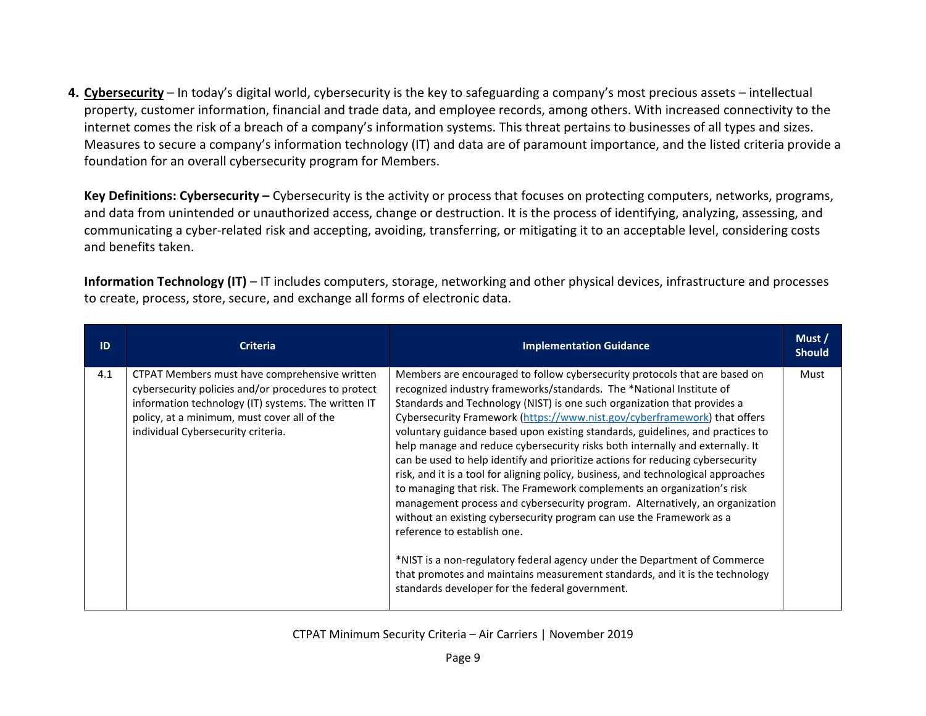**4. Cybersecurity** – In today's digital world, cybersecurity is the key to safeguarding a company's most precious assets – intellectual property, customer information, financial and trade data, and employee records, among others. With increased connectivity to the internet comes the risk of a breach of a company's information systems. This threat pertains to businesses of all types and sizes. Measures to secure a company's information technology (IT) and data are of paramount importance, and the listed criteria provide a foundation for an overall cybersecurity program for Members.

**Key Definitions: Cybersecurity –** Cybersecurity is the activity or process that focuses on protecting computers, networks, programs, and data from unintended or unauthorized access, change or destruction. It is the process of identifying, analyzing, assessing, and communicating a cyber-related risk and accepting, avoiding, transferring, or mitigating it to an acceptable level, considering costs and benefits taken.

**Information Technology (IT)** – IT includes computers, storage, networking and other physical devices, infrastructure and processes to create, process, store, secure, and exchange all forms of electronic data.

| ID  | <b>Criteria</b>                                                                                                                                                                                                                                  | <b>Implementation Guidance</b>                                                                                                                                                                                                                                                                                                                                                                                                                                                                                                                                                                                                                                                                                                                                                                                                                                                                                                                                                                                                                                                                                                          | Must/<br><b>Should</b> |
|-----|--------------------------------------------------------------------------------------------------------------------------------------------------------------------------------------------------------------------------------------------------|-----------------------------------------------------------------------------------------------------------------------------------------------------------------------------------------------------------------------------------------------------------------------------------------------------------------------------------------------------------------------------------------------------------------------------------------------------------------------------------------------------------------------------------------------------------------------------------------------------------------------------------------------------------------------------------------------------------------------------------------------------------------------------------------------------------------------------------------------------------------------------------------------------------------------------------------------------------------------------------------------------------------------------------------------------------------------------------------------------------------------------------------|------------------------|
| 4.1 | CTPAT Members must have comprehensive written<br>cybersecurity policies and/or procedures to protect<br>information technology (IT) systems. The written IT<br>policy, at a minimum, must cover all of the<br>individual Cybersecurity criteria. | Members are encouraged to follow cybersecurity protocols that are based on<br>recognized industry frameworks/standards. The *National Institute of<br>Standards and Technology (NIST) is one such organization that provides a<br>Cybersecurity Framework (https://www.nist.gov/cyberframework) that offers<br>voluntary guidance based upon existing standards, guidelines, and practices to<br>help manage and reduce cybersecurity risks both internally and externally. It<br>can be used to help identify and prioritize actions for reducing cybersecurity<br>risk, and it is a tool for aligning policy, business, and technological approaches<br>to managing that risk. The Framework complements an organization's risk<br>management process and cybersecurity program. Alternatively, an organization<br>without an existing cybersecurity program can use the Framework as a<br>reference to establish one.<br>*NIST is a non-regulatory federal agency under the Department of Commerce<br>that promotes and maintains measurement standards, and it is the technology<br>standards developer for the federal government. | Must                   |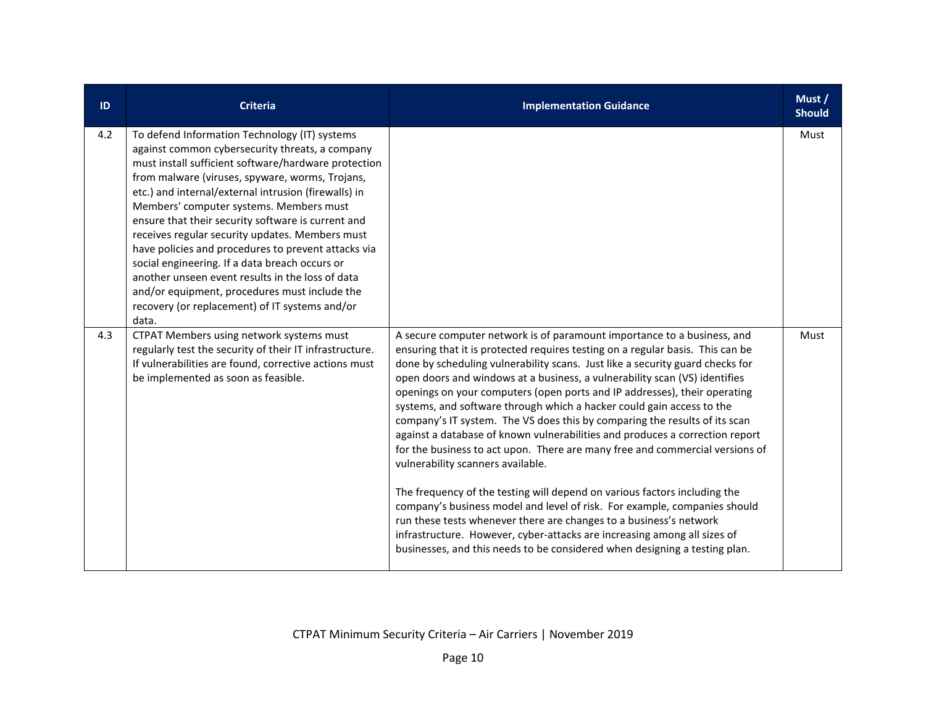| ID  | <b>Criteria</b>                                                                                                                                                                                                                                                                                                                                                                                                                                                                                                                                                                                                                                                                                  | <b>Implementation Guidance</b>                                                                                                                                                                                                                                                                                                                                                                                                                                                                                                                                                                                                                                                                                                                                                                                                                                                                                                                                                                                                                                                                                                                              | Must /<br><b>Should</b> |
|-----|--------------------------------------------------------------------------------------------------------------------------------------------------------------------------------------------------------------------------------------------------------------------------------------------------------------------------------------------------------------------------------------------------------------------------------------------------------------------------------------------------------------------------------------------------------------------------------------------------------------------------------------------------------------------------------------------------|-------------------------------------------------------------------------------------------------------------------------------------------------------------------------------------------------------------------------------------------------------------------------------------------------------------------------------------------------------------------------------------------------------------------------------------------------------------------------------------------------------------------------------------------------------------------------------------------------------------------------------------------------------------------------------------------------------------------------------------------------------------------------------------------------------------------------------------------------------------------------------------------------------------------------------------------------------------------------------------------------------------------------------------------------------------------------------------------------------------------------------------------------------------|-------------------------|
| 4.2 | To defend Information Technology (IT) systems<br>against common cybersecurity threats, a company<br>must install sufficient software/hardware protection<br>from malware (viruses, spyware, worms, Trojans,<br>etc.) and internal/external intrusion (firewalls) in<br>Members' computer systems. Members must<br>ensure that their security software is current and<br>receives regular security updates. Members must<br>have policies and procedures to prevent attacks via<br>social engineering. If a data breach occurs or<br>another unseen event results in the loss of data<br>and/or equipment, procedures must include the<br>recovery (or replacement) of IT systems and/or<br>data. |                                                                                                                                                                                                                                                                                                                                                                                                                                                                                                                                                                                                                                                                                                                                                                                                                                                                                                                                                                                                                                                                                                                                                             | Must                    |
| 4.3 | CTPAT Members using network systems must<br>regularly test the security of their IT infrastructure.<br>If vulnerabilities are found, corrective actions must<br>be implemented as soon as feasible.                                                                                                                                                                                                                                                                                                                                                                                                                                                                                              | A secure computer network is of paramount importance to a business, and<br>ensuring that it is protected requires testing on a regular basis. This can be<br>done by scheduling vulnerability scans. Just like a security guard checks for<br>open doors and windows at a business, a vulnerability scan (VS) identifies<br>openings on your computers (open ports and IP addresses), their operating<br>systems, and software through which a hacker could gain access to the<br>company's IT system. The VS does this by comparing the results of its scan<br>against a database of known vulnerabilities and produces a correction report<br>for the business to act upon. There are many free and commercial versions of<br>vulnerability scanners available.<br>The frequency of the testing will depend on various factors including the<br>company's business model and level of risk. For example, companies should<br>run these tests whenever there are changes to a business's network<br>infrastructure. However, cyber-attacks are increasing among all sizes of<br>businesses, and this needs to be considered when designing a testing plan. | Must                    |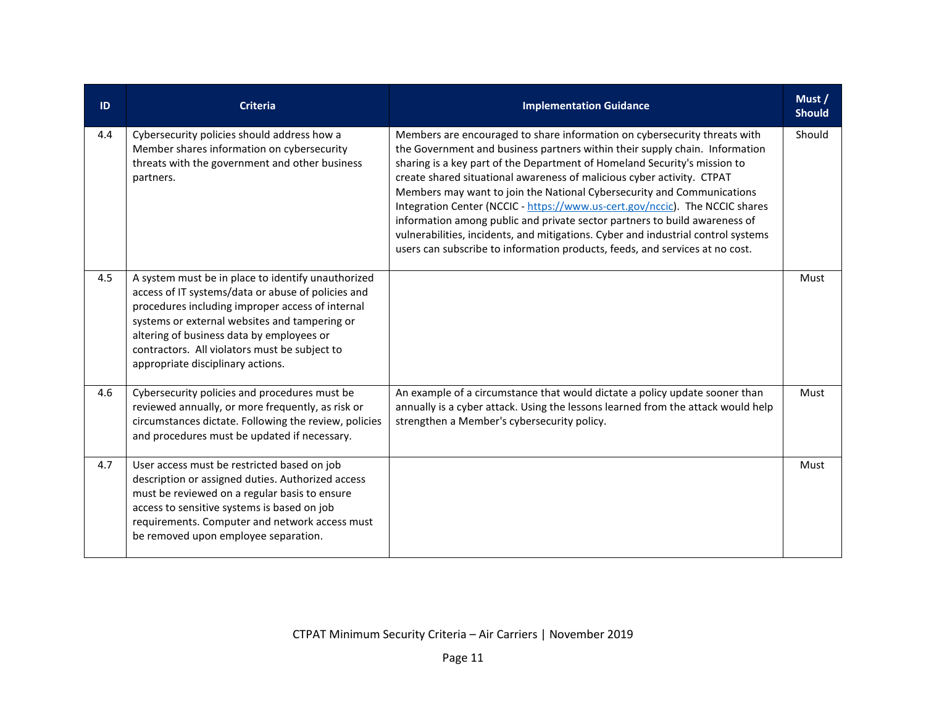| ID  | <b>Criteria</b>                                                                                                                                                                                                                                                                                                                                  | <b>Implementation Guidance</b>                                                                                                                                                                                                                                                                                                                                                                                                                                                                                                                                                                                                                                                                                               | Must /<br><b>Should</b> |
|-----|--------------------------------------------------------------------------------------------------------------------------------------------------------------------------------------------------------------------------------------------------------------------------------------------------------------------------------------------------|------------------------------------------------------------------------------------------------------------------------------------------------------------------------------------------------------------------------------------------------------------------------------------------------------------------------------------------------------------------------------------------------------------------------------------------------------------------------------------------------------------------------------------------------------------------------------------------------------------------------------------------------------------------------------------------------------------------------------|-------------------------|
| 4.4 | Cybersecurity policies should address how a<br>Member shares information on cybersecurity<br>threats with the government and other business<br>partners.                                                                                                                                                                                         | Members are encouraged to share information on cybersecurity threats with<br>the Government and business partners within their supply chain. Information<br>sharing is a key part of the Department of Homeland Security's mission to<br>create shared situational awareness of malicious cyber activity. CTPAT<br>Members may want to join the National Cybersecurity and Communications<br>Integration Center (NCCIC - https://www.us-cert.gov/nccic). The NCCIC shares<br>information among public and private sector partners to build awareness of<br>vulnerabilities, incidents, and mitigations. Cyber and industrial control systems<br>users can subscribe to information products, feeds, and services at no cost. | Should                  |
| 4.5 | A system must be in place to identify unauthorized<br>access of IT systems/data or abuse of policies and<br>procedures including improper access of internal<br>systems or external websites and tampering or<br>altering of business data by employees or<br>contractors. All violators must be subject to<br>appropriate disciplinary actions. |                                                                                                                                                                                                                                                                                                                                                                                                                                                                                                                                                                                                                                                                                                                              | Must                    |
| 4.6 | Cybersecurity policies and procedures must be<br>reviewed annually, or more frequently, as risk or<br>circumstances dictate. Following the review, policies<br>and procedures must be updated if necessary.                                                                                                                                      | An example of a circumstance that would dictate a policy update sooner than<br>annually is a cyber attack. Using the lessons learned from the attack would help<br>strengthen a Member's cybersecurity policy.                                                                                                                                                                                                                                                                                                                                                                                                                                                                                                               | Must                    |
| 4.7 | User access must be restricted based on job<br>description or assigned duties. Authorized access<br>must be reviewed on a regular basis to ensure<br>access to sensitive systems is based on job<br>requirements. Computer and network access must<br>be removed upon employee separation.                                                       |                                                                                                                                                                                                                                                                                                                                                                                                                                                                                                                                                                                                                                                                                                                              | Must                    |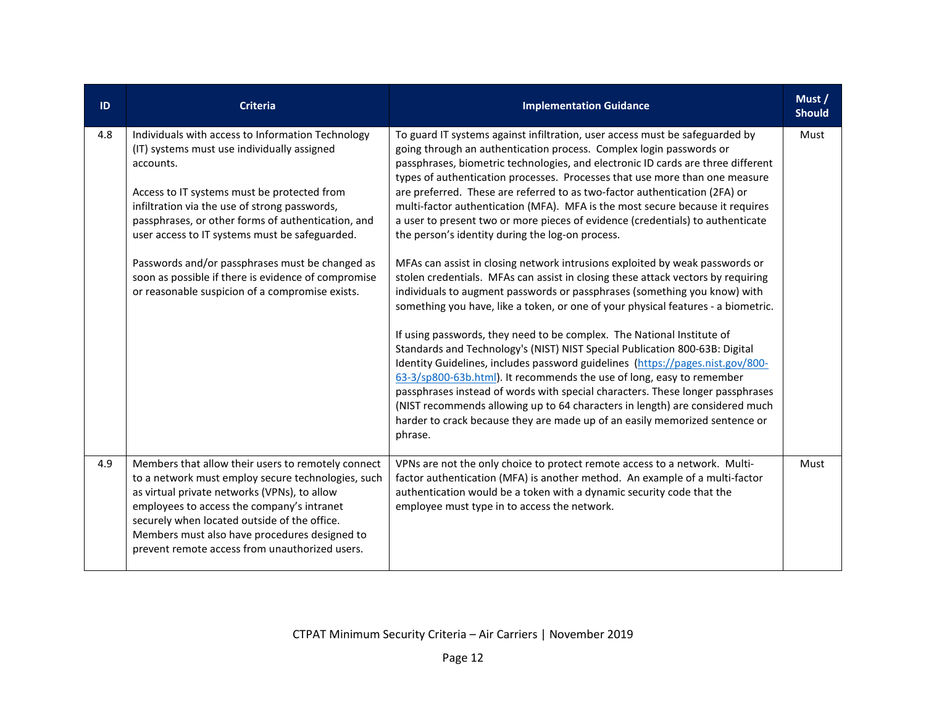| ID  | <b>Criteria</b>                                                                                                                                                                                                                                                                                                                                                                                                                                                                    | <b>Implementation Guidance</b>                                                                                                                                                                                                                                                                                                                                                                                                                                                                                                                                                                                                                                                                                                                                                                                                                                                                                                                                                                                                                                                                                                                                                                                                                                                                                                                                                                                                                                                                                                                    | Must /<br><b>Should</b> |
|-----|------------------------------------------------------------------------------------------------------------------------------------------------------------------------------------------------------------------------------------------------------------------------------------------------------------------------------------------------------------------------------------------------------------------------------------------------------------------------------------|---------------------------------------------------------------------------------------------------------------------------------------------------------------------------------------------------------------------------------------------------------------------------------------------------------------------------------------------------------------------------------------------------------------------------------------------------------------------------------------------------------------------------------------------------------------------------------------------------------------------------------------------------------------------------------------------------------------------------------------------------------------------------------------------------------------------------------------------------------------------------------------------------------------------------------------------------------------------------------------------------------------------------------------------------------------------------------------------------------------------------------------------------------------------------------------------------------------------------------------------------------------------------------------------------------------------------------------------------------------------------------------------------------------------------------------------------------------------------------------------------------------------------------------------------|-------------------------|
| 4.8 | Individuals with access to Information Technology<br>(IT) systems must use individually assigned<br>accounts.<br>Access to IT systems must be protected from<br>infiltration via the use of strong passwords,<br>passphrases, or other forms of authentication, and<br>user access to IT systems must be safeguarded.<br>Passwords and/or passphrases must be changed as<br>soon as possible if there is evidence of compromise<br>or reasonable suspicion of a compromise exists. | To guard IT systems against infiltration, user access must be safeguarded by<br>going through an authentication process. Complex login passwords or<br>passphrases, biometric technologies, and electronic ID cards are three different<br>types of authentication processes. Processes that use more than one measure<br>are preferred. These are referred to as two-factor authentication (2FA) or<br>multi-factor authentication (MFA). MFA is the most secure because it requires<br>a user to present two or more pieces of evidence (credentials) to authenticate<br>the person's identity during the log-on process.<br>MFAs can assist in closing network intrusions exploited by weak passwords or<br>stolen credentials. MFAs can assist in closing these attack vectors by requiring<br>individuals to augment passwords or passphrases (something you know) with<br>something you have, like a token, or one of your physical features - a biometric.<br>If using passwords, they need to be complex. The National Institute of<br>Standards and Technology's (NIST) NIST Special Publication 800-63B: Digital<br>Identity Guidelines, includes password guidelines (https://pages.nist.gov/800-<br>63-3/sp800-63b.html). It recommends the use of long, easy to remember<br>passphrases instead of words with special characters. These longer passphrases<br>(NIST recommends allowing up to 64 characters in length) are considered much<br>harder to crack because they are made up of an easily memorized sentence or<br>phrase. | Must                    |
| 4.9 | Members that allow their users to remotely connect<br>to a network must employ secure technologies, such<br>as virtual private networks (VPNs), to allow<br>employees to access the company's intranet<br>securely when located outside of the office.<br>Members must also have procedures designed to<br>prevent remote access from unauthorized users.                                                                                                                          | VPNs are not the only choice to protect remote access to a network. Multi-<br>factor authentication (MFA) is another method. An example of a multi-factor<br>authentication would be a token with a dynamic security code that the<br>employee must type in to access the network.                                                                                                                                                                                                                                                                                                                                                                                                                                                                                                                                                                                                                                                                                                                                                                                                                                                                                                                                                                                                                                                                                                                                                                                                                                                                | Must                    |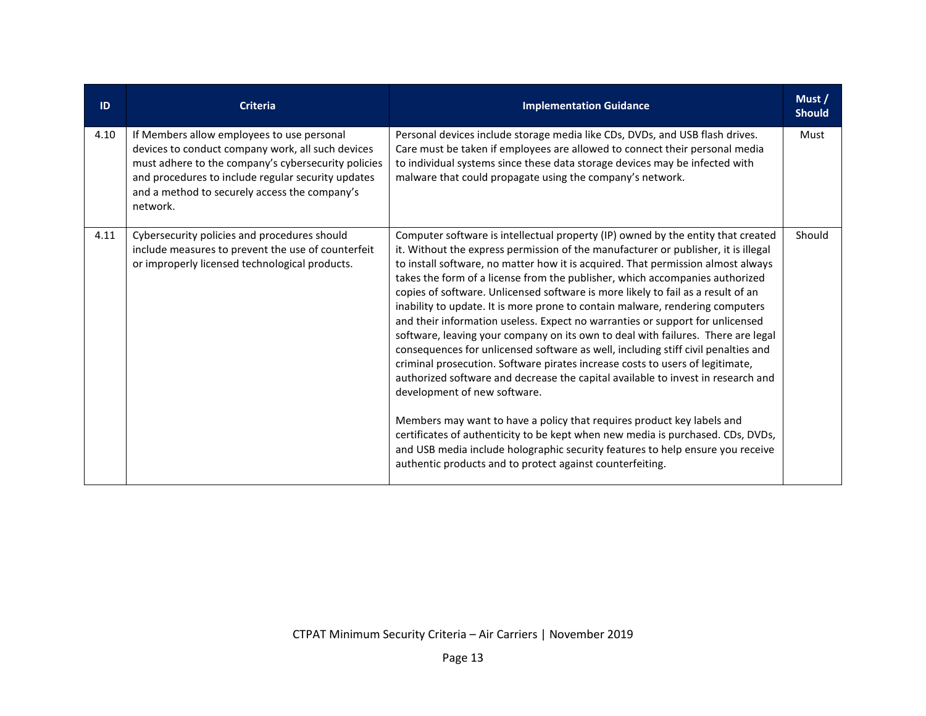| ID   | <b>Criteria</b>                                                                                                                                                                                                                                                           | <b>Implementation Guidance</b>                                                                                                                                                                                                                                                                                                                                                                                                                                                                                                                                                                                                                                                                                                                                                                                                                                                                                                                                                                                                                                                                                                                                                                                                                                                             | Must /<br><b>Should</b> |
|------|---------------------------------------------------------------------------------------------------------------------------------------------------------------------------------------------------------------------------------------------------------------------------|--------------------------------------------------------------------------------------------------------------------------------------------------------------------------------------------------------------------------------------------------------------------------------------------------------------------------------------------------------------------------------------------------------------------------------------------------------------------------------------------------------------------------------------------------------------------------------------------------------------------------------------------------------------------------------------------------------------------------------------------------------------------------------------------------------------------------------------------------------------------------------------------------------------------------------------------------------------------------------------------------------------------------------------------------------------------------------------------------------------------------------------------------------------------------------------------------------------------------------------------------------------------------------------------|-------------------------|
| 4.10 | If Members allow employees to use personal<br>devices to conduct company work, all such devices<br>must adhere to the company's cybersecurity policies<br>and procedures to include regular security updates<br>and a method to securely access the company's<br>network. | Personal devices include storage media like CDs, DVDs, and USB flash drives.<br>Care must be taken if employees are allowed to connect their personal media<br>to individual systems since these data storage devices may be infected with<br>malware that could propagate using the company's network.                                                                                                                                                                                                                                                                                                                                                                                                                                                                                                                                                                                                                                                                                                                                                                                                                                                                                                                                                                                    | Must                    |
| 4.11 | Cybersecurity policies and procedures should<br>include measures to prevent the use of counterfeit<br>or improperly licensed technological products.                                                                                                                      | Computer software is intellectual property (IP) owned by the entity that created<br>it. Without the express permission of the manufacturer or publisher, it is illegal<br>to install software, no matter how it is acquired. That permission almost always<br>takes the form of a license from the publisher, which accompanies authorized<br>copies of software. Unlicensed software is more likely to fail as a result of an<br>inability to update. It is more prone to contain malware, rendering computers<br>and their information useless. Expect no warranties or support for unlicensed<br>software, leaving your company on its own to deal with failures. There are legal<br>consequences for unlicensed software as well, including stiff civil penalties and<br>criminal prosecution. Software pirates increase costs to users of legitimate,<br>authorized software and decrease the capital available to invest in research and<br>development of new software.<br>Members may want to have a policy that requires product key labels and<br>certificates of authenticity to be kept when new media is purchased. CDs, DVDs,<br>and USB media include holographic security features to help ensure you receive<br>authentic products and to protect against counterfeiting. | Should                  |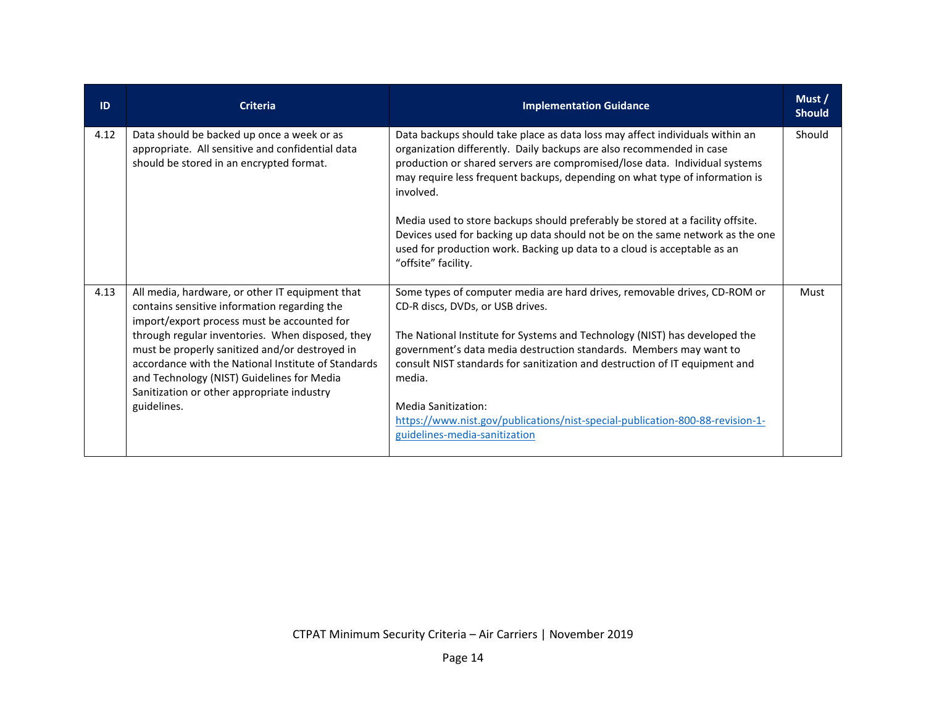| ID   | <b>Criteria</b>                                                                                                                                                                                                                                                                                                                                                                                                        | <b>Implementation Guidance</b>                                                                                                                                                                                                                                                                                                                                                                                                                                                                                                                                                                       | Must/<br><b>Should</b> |
|------|------------------------------------------------------------------------------------------------------------------------------------------------------------------------------------------------------------------------------------------------------------------------------------------------------------------------------------------------------------------------------------------------------------------------|------------------------------------------------------------------------------------------------------------------------------------------------------------------------------------------------------------------------------------------------------------------------------------------------------------------------------------------------------------------------------------------------------------------------------------------------------------------------------------------------------------------------------------------------------------------------------------------------------|------------------------|
| 4.12 | Data should be backed up once a week or as<br>appropriate. All sensitive and confidential data<br>should be stored in an encrypted format.                                                                                                                                                                                                                                                                             | Data backups should take place as data loss may affect individuals within an<br>organization differently. Daily backups are also recommended in case<br>production or shared servers are compromised/lose data. Individual systems<br>may require less frequent backups, depending on what type of information is<br>involved.<br>Media used to store backups should preferably be stored at a facility offsite.<br>Devices used for backing up data should not be on the same network as the one<br>used for production work. Backing up data to a cloud is acceptable as an<br>"offsite" facility. | Should                 |
| 4.13 | All media, hardware, or other IT equipment that<br>contains sensitive information regarding the<br>import/export process must be accounted for<br>through regular inventories. When disposed, they<br>must be properly sanitized and/or destroyed in<br>accordance with the National Institute of Standards<br>and Technology (NIST) Guidelines for Media<br>Sanitization or other appropriate industry<br>guidelines. | Some types of computer media are hard drives, removable drives, CD-ROM or<br>CD-R discs, DVDs, or USB drives.<br>The National Institute for Systems and Technology (NIST) has developed the<br>government's data media destruction standards. Members may want to<br>consult NIST standards for sanitization and destruction of IT equipment and<br>media.<br>Media Sanitization:<br>https://www.nist.gov/publications/nist-special-publication-800-88-revision-1-<br>guidelines-media-sanitization                                                                                                  | Must                   |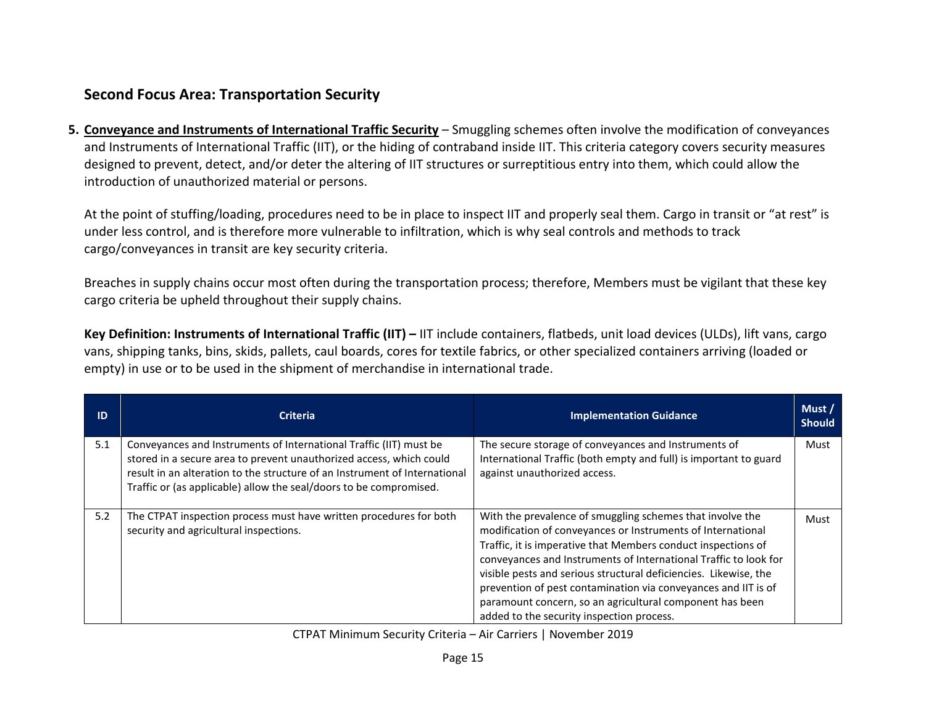## **Second Focus Area: Transportation Security**

**5. Conveyance and Instruments of International Traffic Security** – Smuggling schemes often involve the modification of conveyances and Instruments of International Traffic (IIT), or the hiding of contraband inside IIT. This criteria category covers security measures designed to prevent, detect, and/or deter the altering of IIT structures or surreptitious entry into them, which could allow the introduction of unauthorized material or persons.

At the point of stuffing/loading, procedures need to be in place to inspect IIT and properly seal them. Cargo in transit or "at rest" is under less control, and is therefore more vulnerable to infiltration, which is why seal controls and methods to track cargo/conveyances in transit are key security criteria.

Breaches in supply chains occur most often during the transportation process; therefore, Members must be vigilant that these key cargo criteria be upheld throughout their supply chains.

**Key Definition: Instruments of International Traffic (IIT) –** IIT include containers, flatbeds, unit load devices (ULDs), lift vans, cargo vans, shipping tanks, bins, skids, pallets, caul boards, cores for textile fabrics, or other specialized containers arriving (loaded or empty) in use or to be used in the shipment of merchandise in international trade.

| ID  | <b>Criteria</b>                                                                                                                                                                                                                                                                               | <b>Implementation Guidance</b>                                                                                                                                                                                                                                                                                                                                                                                                                                                                               | Must/<br><b>Should</b> |
|-----|-----------------------------------------------------------------------------------------------------------------------------------------------------------------------------------------------------------------------------------------------------------------------------------------------|--------------------------------------------------------------------------------------------------------------------------------------------------------------------------------------------------------------------------------------------------------------------------------------------------------------------------------------------------------------------------------------------------------------------------------------------------------------------------------------------------------------|------------------------|
| 5.1 | Conveyances and Instruments of International Traffic (IIT) must be<br>stored in a secure area to prevent unauthorized access, which could<br>result in an alteration to the structure of an Instrument of International<br>Traffic or (as applicable) allow the seal/doors to be compromised. | The secure storage of conveyances and Instruments of<br>International Traffic (both empty and full) is important to guard<br>against unauthorized access.                                                                                                                                                                                                                                                                                                                                                    | Must                   |
| 5.2 | The CTPAT inspection process must have written procedures for both<br>security and agricultural inspections.                                                                                                                                                                                  | With the prevalence of smuggling schemes that involve the<br>modification of conveyances or Instruments of International<br>Traffic, it is imperative that Members conduct inspections of<br>conveyances and Instruments of International Traffic to look for<br>visible pests and serious structural deficiencies. Likewise, the<br>prevention of pest contamination via conveyances and IIT is of<br>paramount concern, so an agricultural component has been<br>added to the security inspection process. | Must                   |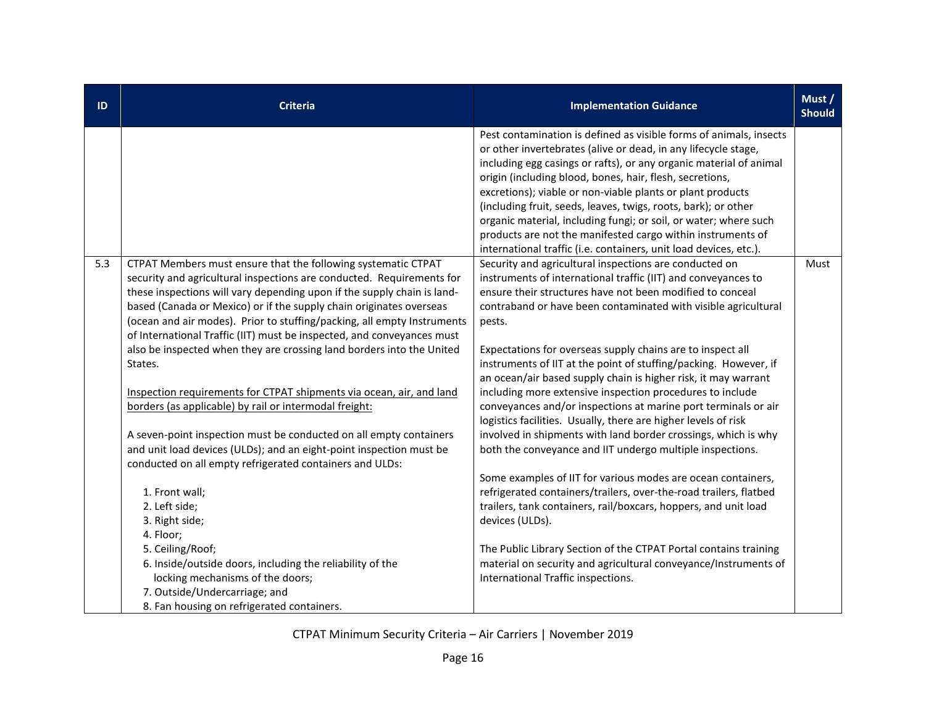| ID  | <b>Criteria</b>                                                                                                                                                                                                                                                                                                                                                                                                                                                                                                                                                                                                                                                                                                                                                                                                  | <b>Implementation Guidance</b>                                                                                                                                                                                                                                                                                                                                                                                                                                                                                                                                                                                                                                                                                                                                                                       | Must /<br><b>Should</b> |
|-----|------------------------------------------------------------------------------------------------------------------------------------------------------------------------------------------------------------------------------------------------------------------------------------------------------------------------------------------------------------------------------------------------------------------------------------------------------------------------------------------------------------------------------------------------------------------------------------------------------------------------------------------------------------------------------------------------------------------------------------------------------------------------------------------------------------------|------------------------------------------------------------------------------------------------------------------------------------------------------------------------------------------------------------------------------------------------------------------------------------------------------------------------------------------------------------------------------------------------------------------------------------------------------------------------------------------------------------------------------------------------------------------------------------------------------------------------------------------------------------------------------------------------------------------------------------------------------------------------------------------------------|-------------------------|
|     |                                                                                                                                                                                                                                                                                                                                                                                                                                                                                                                                                                                                                                                                                                                                                                                                                  | Pest contamination is defined as visible forms of animals, insects<br>or other invertebrates (alive or dead, in any lifecycle stage,<br>including egg casings or rafts), or any organic material of animal<br>origin (including blood, bones, hair, flesh, secretions,<br>excretions); viable or non-viable plants or plant products<br>(including fruit, seeds, leaves, twigs, roots, bark); or other<br>organic material, including fungi; or soil, or water; where such<br>products are not the manifested cargo within instruments of<br>international traffic (i.e. containers, unit load devices, etc.).                                                                                                                                                                                       |                         |
| 5.3 | CTPAT Members must ensure that the following systematic CTPAT<br>security and agricultural inspections are conducted. Requirements for<br>these inspections will vary depending upon if the supply chain is land-<br>based (Canada or Mexico) or if the supply chain originates overseas<br>(ocean and air modes). Prior to stuffing/packing, all empty Instruments<br>of International Traffic (IIT) must be inspected, and conveyances must<br>also be inspected when they are crossing land borders into the United<br>States.<br>Inspection requirements for CTPAT shipments via ocean, air, and land<br>borders (as applicable) by rail or intermodal freight:<br>A seven-point inspection must be conducted on all empty containers<br>and unit load devices (ULDs); and an eight-point inspection must be | Security and agricultural inspections are conducted on<br>instruments of international traffic (IIT) and conveyances to<br>ensure their structures have not been modified to conceal<br>contraband or have been contaminated with visible agricultural<br>pests.<br>Expectations for overseas supply chains are to inspect all<br>instruments of IIT at the point of stuffing/packing. However, if<br>an ocean/air based supply chain is higher risk, it may warrant<br>including more extensive inspection procedures to include<br>conveyances and/or inspections at marine port terminals or air<br>logistics facilities. Usually, there are higher levels of risk<br>involved in shipments with land border crossings, which is why<br>both the conveyance and IIT undergo multiple inspections. | Must                    |
|     | conducted on all empty refrigerated containers and ULDs:<br>1. Front wall;<br>2. Left side;<br>3. Right side;<br>4. Floor;<br>5. Ceiling/Roof;<br>6. Inside/outside doors, including the reliability of the<br>locking mechanisms of the doors;<br>7. Outside/Undercarriage; and<br>8. Fan housing on refrigerated containers.                                                                                                                                                                                                                                                                                                                                                                                                                                                                                   | Some examples of IIT for various modes are ocean containers,<br>refrigerated containers/trailers, over-the-road trailers, flatbed<br>trailers, tank containers, rail/boxcars, hoppers, and unit load<br>devices (ULDs).<br>The Public Library Section of the CTPAT Portal contains training<br>material on security and agricultural conveyance/Instruments of<br>International Traffic inspections.                                                                                                                                                                                                                                                                                                                                                                                                 |                         |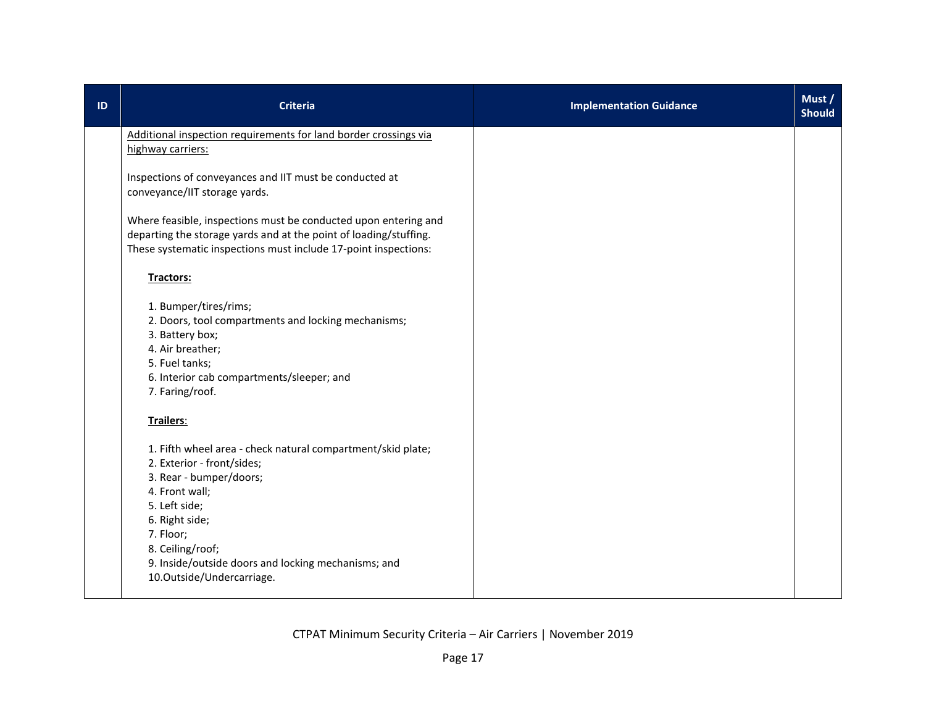| ID | <b>Criteria</b>                                                                                                                                                                                                                                                                                | <b>Implementation Guidance</b> | Must /<br><b>Should</b> |
|----|------------------------------------------------------------------------------------------------------------------------------------------------------------------------------------------------------------------------------------------------------------------------------------------------|--------------------------------|-------------------------|
|    | Additional inspection requirements for land border crossings via<br>highway carriers:                                                                                                                                                                                                          |                                |                         |
|    | Inspections of conveyances and IIT must be conducted at<br>conveyance/IIT storage yards.                                                                                                                                                                                                       |                                |                         |
|    | Where feasible, inspections must be conducted upon entering and<br>departing the storage yards and at the point of loading/stuffing.<br>These systematic inspections must include 17-point inspections:                                                                                        |                                |                         |
|    | Tractors:                                                                                                                                                                                                                                                                                      |                                |                         |
|    | 1. Bumper/tires/rims;<br>2. Doors, tool compartments and locking mechanisms;<br>3. Battery box;<br>4. Air breather;<br>5. Fuel tanks;<br>6. Interior cab compartments/sleeper; and<br>7. Faring/roof.                                                                                          |                                |                         |
|    | Trailers:                                                                                                                                                                                                                                                                                      |                                |                         |
|    | 1. Fifth wheel area - check natural compartment/skid plate;<br>2. Exterior - front/sides;<br>3. Rear - bumper/doors;<br>4. Front wall;<br>5. Left side;<br>6. Right side;<br>7. Floor;<br>8. Ceiling/roof;<br>9. Inside/outside doors and locking mechanisms; and<br>10.Outside/Undercarriage. |                                |                         |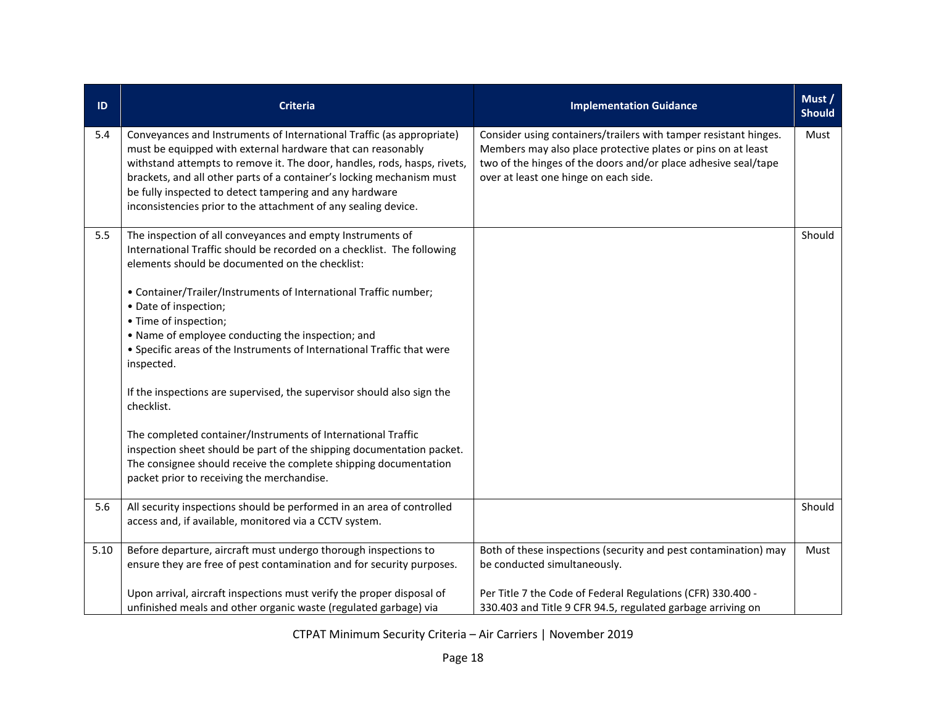| ID   | <b>Criteria</b>                                                                                                                                                                                                                                                                                                                                                                                                        | <b>Implementation Guidance</b>                                                                                                                                                                                                              | Must /<br><b>Should</b> |
|------|------------------------------------------------------------------------------------------------------------------------------------------------------------------------------------------------------------------------------------------------------------------------------------------------------------------------------------------------------------------------------------------------------------------------|---------------------------------------------------------------------------------------------------------------------------------------------------------------------------------------------------------------------------------------------|-------------------------|
| 5.4  | Conveyances and Instruments of International Traffic (as appropriate)<br>must be equipped with external hardware that can reasonably<br>withstand attempts to remove it. The door, handles, rods, hasps, rivets,<br>brackets, and all other parts of a container's locking mechanism must<br>be fully inspected to detect tampering and any hardware<br>inconsistencies prior to the attachment of any sealing device. | Consider using containers/trailers with tamper resistant hinges.<br>Members may also place protective plates or pins on at least<br>two of the hinges of the doors and/or place adhesive seal/tape<br>over at least one hinge on each side. | Must                    |
| 5.5  | The inspection of all conveyances and empty Instruments of<br>International Traffic should be recorded on a checklist. The following<br>elements should be documented on the checklist:<br>• Container/Trailer/Instruments of International Traffic number;<br>• Date of inspection;<br>• Time of inspection;                                                                                                          |                                                                                                                                                                                                                                             | Should                  |
|      | • Name of employee conducting the inspection; and<br>• Specific areas of the Instruments of International Traffic that were<br>inspected.                                                                                                                                                                                                                                                                              |                                                                                                                                                                                                                                             |                         |
|      | If the inspections are supervised, the supervisor should also sign the<br>checklist.                                                                                                                                                                                                                                                                                                                                   |                                                                                                                                                                                                                                             |                         |
|      | The completed container/Instruments of International Traffic<br>inspection sheet should be part of the shipping documentation packet.<br>The consignee should receive the complete shipping documentation<br>packet prior to receiving the merchandise.                                                                                                                                                                |                                                                                                                                                                                                                                             |                         |
| 5.6  | All security inspections should be performed in an area of controlled<br>access and, if available, monitored via a CCTV system.                                                                                                                                                                                                                                                                                        |                                                                                                                                                                                                                                             | Should                  |
| 5.10 | Before departure, aircraft must undergo thorough inspections to<br>ensure they are free of pest contamination and for security purposes.                                                                                                                                                                                                                                                                               | Both of these inspections (security and pest contamination) may<br>be conducted simultaneously.                                                                                                                                             | Must                    |
|      | Upon arrival, aircraft inspections must verify the proper disposal of<br>unfinished meals and other organic waste (regulated garbage) via                                                                                                                                                                                                                                                                              | Per Title 7 the Code of Federal Regulations (CFR) 330.400 -<br>330.403 and Title 9 CFR 94.5, regulated garbage arriving on                                                                                                                  |                         |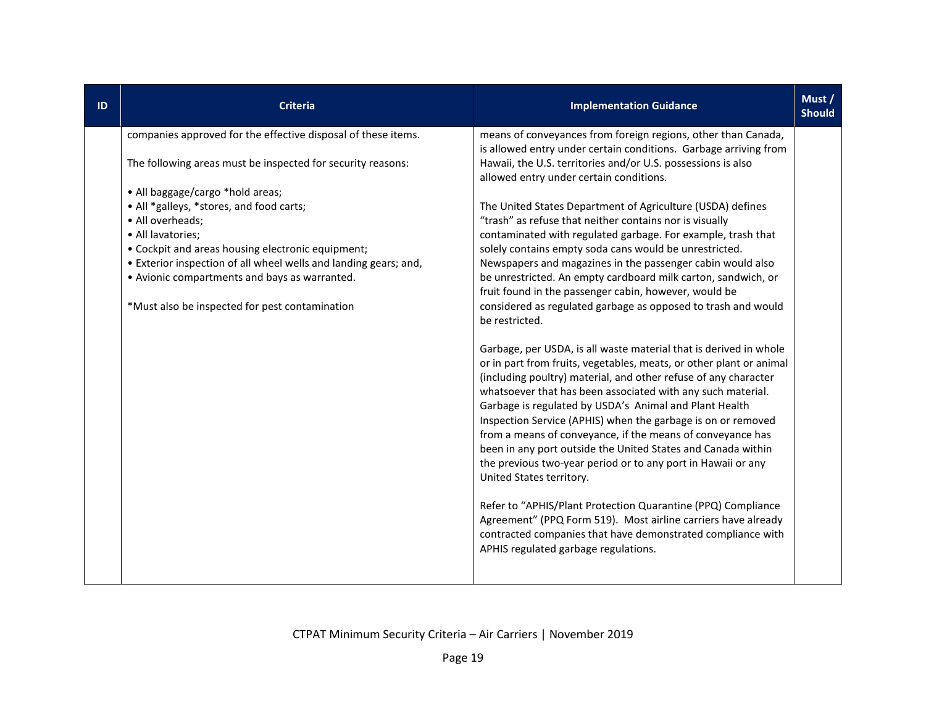| ID | <b>Criteria</b>                                                                                                                                                                                                                                                                                                                                                                                                                                                                   | <b>Implementation Guidance</b>                                                                                                                                                                                                                                                                                                                                                                                                                                                                                                                                                                                                                                                                                                                                                                                                                                                                                                                                                                                                                                                                                                                                                                                                                                                                                                                                                                                                                                                                                                                                                                                                                       | Must /<br><b>Should</b> |
|----|-----------------------------------------------------------------------------------------------------------------------------------------------------------------------------------------------------------------------------------------------------------------------------------------------------------------------------------------------------------------------------------------------------------------------------------------------------------------------------------|------------------------------------------------------------------------------------------------------------------------------------------------------------------------------------------------------------------------------------------------------------------------------------------------------------------------------------------------------------------------------------------------------------------------------------------------------------------------------------------------------------------------------------------------------------------------------------------------------------------------------------------------------------------------------------------------------------------------------------------------------------------------------------------------------------------------------------------------------------------------------------------------------------------------------------------------------------------------------------------------------------------------------------------------------------------------------------------------------------------------------------------------------------------------------------------------------------------------------------------------------------------------------------------------------------------------------------------------------------------------------------------------------------------------------------------------------------------------------------------------------------------------------------------------------------------------------------------------------------------------------------------------------|-------------------------|
|    | companies approved for the effective disposal of these items.<br>The following areas must be inspected for security reasons:<br>• All baggage/cargo *hold areas;<br>• All *galleys, *stores, and food carts;<br>• All overheads;<br>• All lavatories;<br>• Cockpit and areas housing electronic equipment;<br>• Exterior inspection of all wheel wells and landing gears; and,<br>• Avionic compartments and bays as warranted.<br>*Must also be inspected for pest contamination | means of conveyances from foreign regions, other than Canada,<br>is allowed entry under certain conditions. Garbage arriving from<br>Hawaii, the U.S. territories and/or U.S. possessions is also<br>allowed entry under certain conditions.<br>The United States Department of Agriculture (USDA) defines<br>"trash" as refuse that neither contains nor is visually<br>contaminated with regulated garbage. For example, trash that<br>solely contains empty soda cans would be unrestricted.<br>Newspapers and magazines in the passenger cabin would also<br>be unrestricted. An empty cardboard milk carton, sandwich, or<br>fruit found in the passenger cabin, however, would be<br>considered as regulated garbage as opposed to trash and would<br>be restricted.<br>Garbage, per USDA, is all waste material that is derived in whole<br>or in part from fruits, vegetables, meats, or other plant or animal<br>(including poultry) material, and other refuse of any character<br>whatsoever that has been associated with any such material.<br>Garbage is regulated by USDA's Animal and Plant Health<br>Inspection Service (APHIS) when the garbage is on or removed<br>from a means of conveyance, if the means of conveyance has<br>been in any port outside the United States and Canada within<br>the previous two-year period or to any port in Hawaii or any<br>United States territory.<br>Refer to "APHIS/Plant Protection Quarantine (PPQ) Compliance<br>Agreement" (PPQ Form 519). Most airline carriers have already<br>contracted companies that have demonstrated compliance with<br>APHIS regulated garbage regulations. |                         |
|    |                                                                                                                                                                                                                                                                                                                                                                                                                                                                                   |                                                                                                                                                                                                                                                                                                                                                                                                                                                                                                                                                                                                                                                                                                                                                                                                                                                                                                                                                                                                                                                                                                                                                                                                                                                                                                                                                                                                                                                                                                                                                                                                                                                      |                         |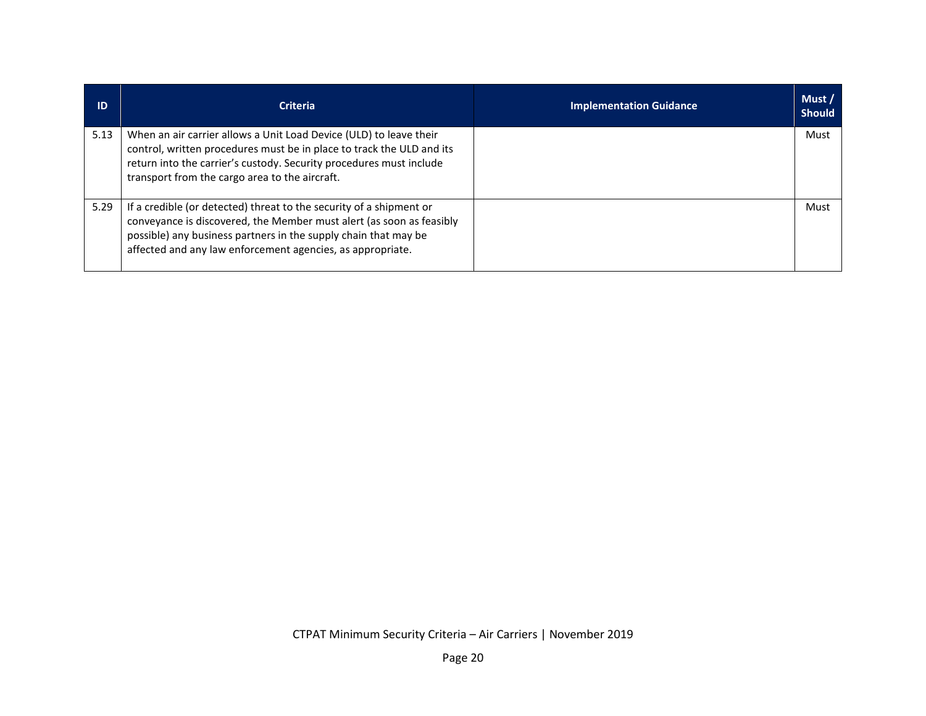| ID   | <b>Criteria</b>                                                                                                                                                                                                                                                              | <b>Implementation Guidance</b> | Must/<br><b>Should</b> |
|------|------------------------------------------------------------------------------------------------------------------------------------------------------------------------------------------------------------------------------------------------------------------------------|--------------------------------|------------------------|
| 5.13 | When an air carrier allows a Unit Load Device (ULD) to leave their<br>control, written procedures must be in place to track the ULD and its<br>return into the carrier's custody. Security procedures must include<br>transport from the cargo area to the aircraft.         |                                | Must                   |
| 5.29 | If a credible (or detected) threat to the security of a shipment or<br>conveyance is discovered, the Member must alert (as soon as feasibly<br>possible) any business partners in the supply chain that may be<br>affected and any law enforcement agencies, as appropriate. |                                | Must                   |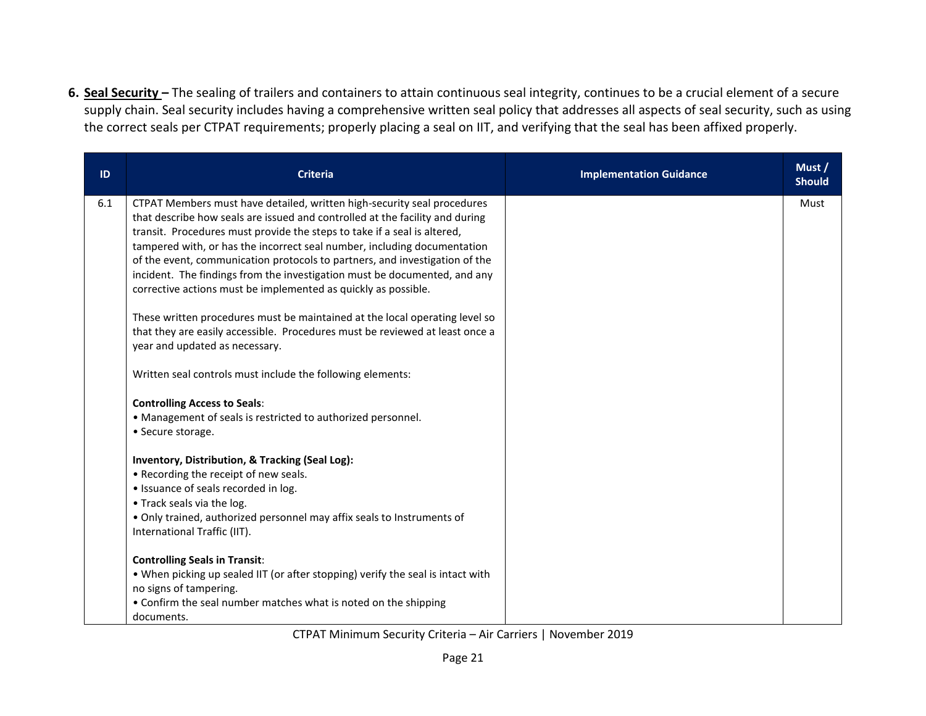**6. Seal Security –** The sealing of trailers and containers to attain continuous seal integrity, continues to be a crucial element of a secure supply chain. Seal security includes having a comprehensive written seal policy that addresses all aspects of seal security, such as using the correct seals per CTPAT requirements; properly placing a seal on IIT, and verifying that the seal has been affixed properly.

| ID  | <b>Criteria</b>                                                                                                                                          | <b>Implementation Guidance</b> | Must /<br><b>Should</b> |
|-----|----------------------------------------------------------------------------------------------------------------------------------------------------------|--------------------------------|-------------------------|
| 6.1 | CTPAT Members must have detailed, written high-security seal procedures                                                                                  |                                | Must                    |
|     | that describe how seals are issued and controlled at the facility and during<br>transit. Procedures must provide the steps to take if a seal is altered, |                                |                         |
|     | tampered with, or has the incorrect seal number, including documentation                                                                                 |                                |                         |
|     | of the event, communication protocols to partners, and investigation of the                                                                              |                                |                         |
|     | incident. The findings from the investigation must be documented, and any                                                                                |                                |                         |
|     | corrective actions must be implemented as quickly as possible.                                                                                           |                                |                         |
|     | These written procedures must be maintained at the local operating level so                                                                              |                                |                         |
|     | that they are easily accessible. Procedures must be reviewed at least once a                                                                             |                                |                         |
|     | year and updated as necessary.                                                                                                                           |                                |                         |
|     | Written seal controls must include the following elements:                                                                                               |                                |                         |
|     | <b>Controlling Access to Seals:</b>                                                                                                                      |                                |                         |
|     | • Management of seals is restricted to authorized personnel.                                                                                             |                                |                         |
|     | • Secure storage.                                                                                                                                        |                                |                         |
|     | Inventory, Distribution, & Tracking (Seal Log):                                                                                                          |                                |                         |
|     | • Recording the receipt of new seals.                                                                                                                    |                                |                         |
|     | · Issuance of seals recorded in log.                                                                                                                     |                                |                         |
|     | • Track seals via the log.                                                                                                                               |                                |                         |
|     | • Only trained, authorized personnel may affix seals to Instruments of                                                                                   |                                |                         |
|     | International Traffic (IIT).                                                                                                                             |                                |                         |
|     | <b>Controlling Seals in Transit:</b>                                                                                                                     |                                |                         |
|     | . When picking up sealed IIT (or after stopping) verify the seal is intact with                                                                          |                                |                         |
|     | no signs of tampering.                                                                                                                                   |                                |                         |
|     | • Confirm the seal number matches what is noted on the shipping                                                                                          |                                |                         |
|     | documents.                                                                                                                                               |                                |                         |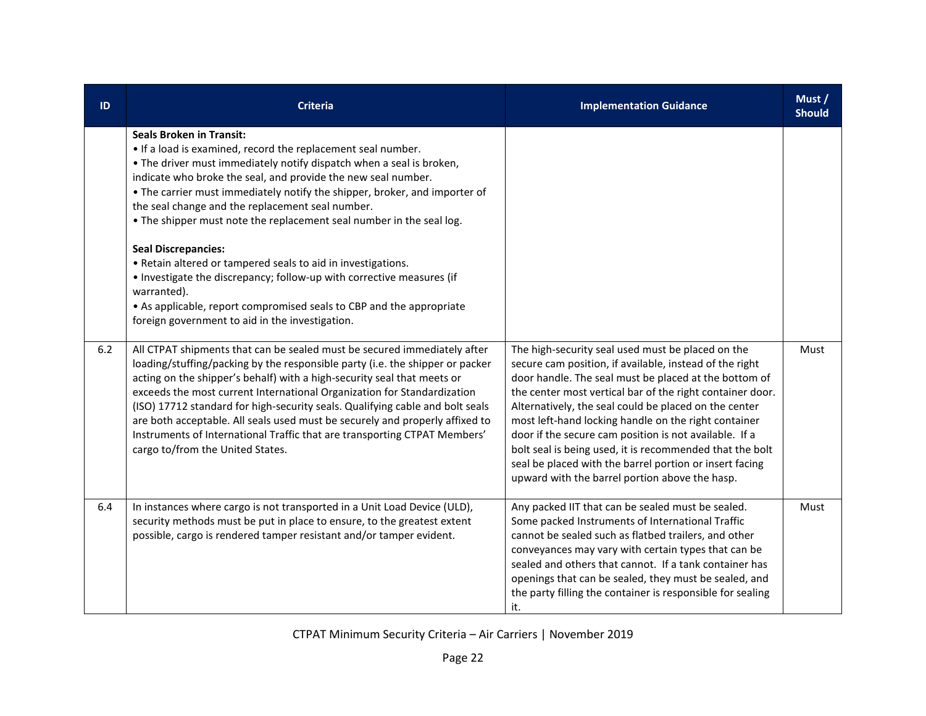| ID  | <b>Criteria</b>                                                                                                                                                                                                                                                                                                                                                                                                                                                                                                                                                                                                                                                                                                                                                     | <b>Implementation Guidance</b>                                                                                                                                                                                                                                                                                                                                                                                                                                                                                                                                                         | Must/<br><b>Should</b> |
|-----|---------------------------------------------------------------------------------------------------------------------------------------------------------------------------------------------------------------------------------------------------------------------------------------------------------------------------------------------------------------------------------------------------------------------------------------------------------------------------------------------------------------------------------------------------------------------------------------------------------------------------------------------------------------------------------------------------------------------------------------------------------------------|----------------------------------------------------------------------------------------------------------------------------------------------------------------------------------------------------------------------------------------------------------------------------------------------------------------------------------------------------------------------------------------------------------------------------------------------------------------------------------------------------------------------------------------------------------------------------------------|------------------------|
|     | <b>Seals Broken in Transit:</b><br>. If a load is examined, record the replacement seal number.<br>. The driver must immediately notify dispatch when a seal is broken,<br>indicate who broke the seal, and provide the new seal number.<br>• The carrier must immediately notify the shipper, broker, and importer of<br>the seal change and the replacement seal number.<br>. The shipper must note the replacement seal number in the seal log.<br><b>Seal Discrepancies:</b><br>• Retain altered or tampered seals to aid in investigations.<br>• Investigate the discrepancy; follow-up with corrective measures (if<br>warranted).<br>• As applicable, report compromised seals to CBP and the appropriate<br>foreign government to aid in the investigation. |                                                                                                                                                                                                                                                                                                                                                                                                                                                                                                                                                                                        |                        |
| 6.2 | All CTPAT shipments that can be sealed must be secured immediately after<br>loading/stuffing/packing by the responsible party (i.e. the shipper or packer<br>acting on the shipper's behalf) with a high-security seal that meets or<br>exceeds the most current International Organization for Standardization<br>(ISO) 17712 standard for high-security seals. Qualifying cable and bolt seals<br>are both acceptable. All seals used must be securely and properly affixed to<br>Instruments of International Traffic that are transporting CTPAT Members'<br>cargo to/from the United States.                                                                                                                                                                   | The high-security seal used must be placed on the<br>secure cam position, if available, instead of the right<br>door handle. The seal must be placed at the bottom of<br>the center most vertical bar of the right container door.<br>Alternatively, the seal could be placed on the center<br>most left-hand locking handle on the right container<br>door if the secure cam position is not available. If a<br>bolt seal is being used, it is recommended that the bolt<br>seal be placed with the barrel portion or insert facing<br>upward with the barrel portion above the hasp. | Must                   |
| 6.4 | In instances where cargo is not transported in a Unit Load Device (ULD),<br>security methods must be put in place to ensure, to the greatest extent<br>possible, cargo is rendered tamper resistant and/or tamper evident.                                                                                                                                                                                                                                                                                                                                                                                                                                                                                                                                          | Any packed IIT that can be sealed must be sealed.<br>Some packed Instruments of International Traffic<br>cannot be sealed such as flatbed trailers, and other<br>conveyances may vary with certain types that can be<br>sealed and others that cannot. If a tank container has<br>openings that can be sealed, they must be sealed, and<br>the party filling the container is responsible for sealing<br>it.                                                                                                                                                                           | Must                   |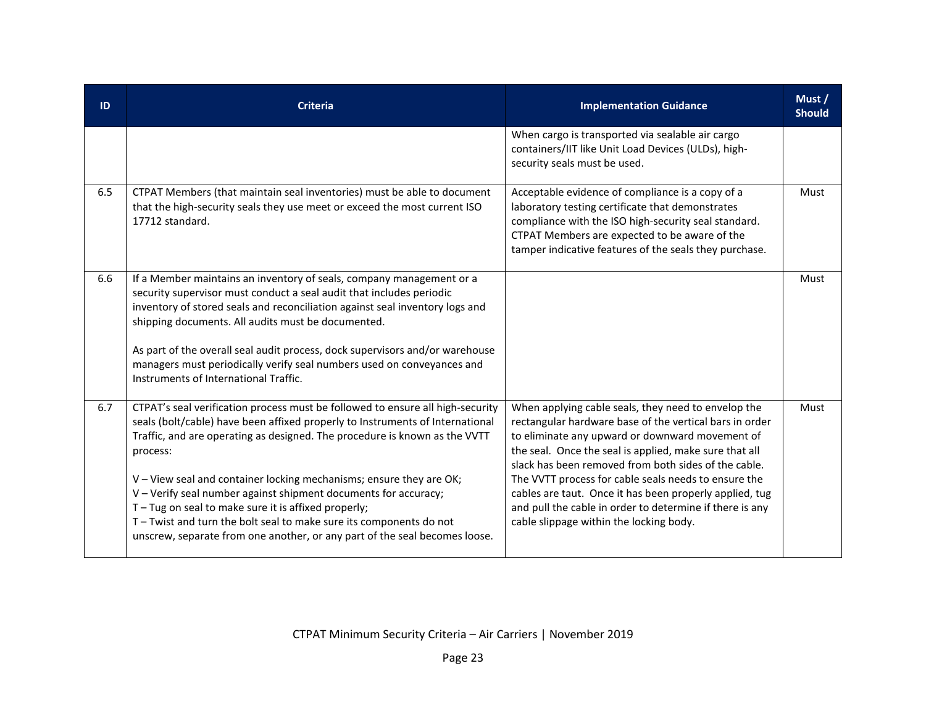| ID  | <b>Criteria</b>                                                                                                                                                                                                                                                                                                                                                                                                                                                                                                                                                                                                | <b>Implementation Guidance</b>                                                                                                                                                                                                                                                                                                                                                                                                                                                                                | Must /<br><b>Should</b> |
|-----|----------------------------------------------------------------------------------------------------------------------------------------------------------------------------------------------------------------------------------------------------------------------------------------------------------------------------------------------------------------------------------------------------------------------------------------------------------------------------------------------------------------------------------------------------------------------------------------------------------------|---------------------------------------------------------------------------------------------------------------------------------------------------------------------------------------------------------------------------------------------------------------------------------------------------------------------------------------------------------------------------------------------------------------------------------------------------------------------------------------------------------------|-------------------------|
|     |                                                                                                                                                                                                                                                                                                                                                                                                                                                                                                                                                                                                                | When cargo is transported via sealable air cargo<br>containers/IIT like Unit Load Devices (ULDs), high-<br>security seals must be used.                                                                                                                                                                                                                                                                                                                                                                       |                         |
| 6.5 | CTPAT Members (that maintain seal inventories) must be able to document<br>that the high-security seals they use meet or exceed the most current ISO<br>17712 standard.                                                                                                                                                                                                                                                                                                                                                                                                                                        | Acceptable evidence of compliance is a copy of a<br>laboratory testing certificate that demonstrates<br>compliance with the ISO high-security seal standard.<br>CTPAT Members are expected to be aware of the<br>tamper indicative features of the seals they purchase.                                                                                                                                                                                                                                       | Must                    |
| 6.6 | If a Member maintains an inventory of seals, company management or a<br>security supervisor must conduct a seal audit that includes periodic<br>inventory of stored seals and reconciliation against seal inventory logs and<br>shipping documents. All audits must be documented.<br>As part of the overall seal audit process, dock supervisors and/or warehouse<br>managers must periodically verify seal numbers used on conveyances and<br>Instruments of International Traffic.                                                                                                                          |                                                                                                                                                                                                                                                                                                                                                                                                                                                                                                               | Must                    |
| 6.7 | CTPAT's seal verification process must be followed to ensure all high-security<br>seals (bolt/cable) have been affixed properly to Instruments of International<br>Traffic, and are operating as designed. The procedure is known as the VVTT<br>process:<br>V - View seal and container locking mechanisms; ensure they are OK;<br>V - Verify seal number against shipment documents for accuracy;<br>T-Tug on seal to make sure it is affixed properly;<br>T - Twist and turn the bolt seal to make sure its components do not<br>unscrew, separate from one another, or any part of the seal becomes loose. | When applying cable seals, they need to envelop the<br>rectangular hardware base of the vertical bars in order<br>to eliminate any upward or downward movement of<br>the seal. Once the seal is applied, make sure that all<br>slack has been removed from both sides of the cable.<br>The VVTT process for cable seals needs to ensure the<br>cables are taut. Once it has been properly applied, tug<br>and pull the cable in order to determine if there is any<br>cable slippage within the locking body. | Must                    |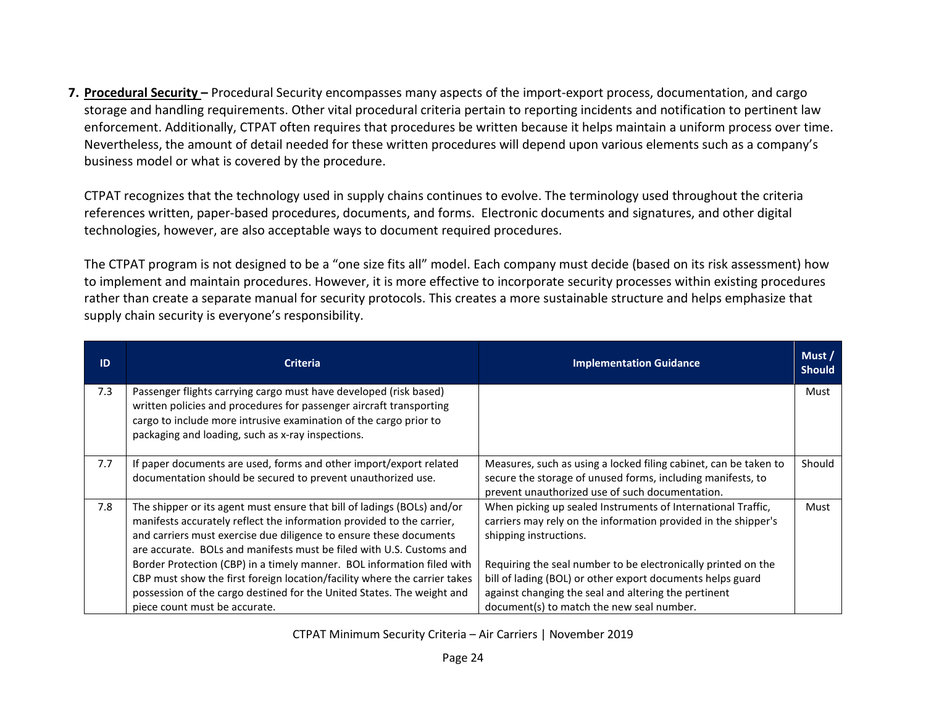**7. Procedural Security –** Procedural Security encompasses many aspects of the import-export process, documentation, and cargo storage and handling requirements. Other vital procedural criteria pertain to reporting incidents and notification to pertinent law enforcement. Additionally, CTPAT often requires that procedures be written because it helps maintain a uniform process over time. Nevertheless, the amount of detail needed for these written procedures will depend upon various elements such as a company's business model or what is covered by the procedure.

CTPAT recognizes that the technology used in supply chains continues to evolve. The terminology used throughout the criteria references written, paper-based procedures, documents, and forms. Electronic documents and signatures, and other digital technologies, however, are also acceptable ways to document required procedures.

The CTPAT program is not designed to be a "one size fits all" model. Each company must decide (based on its risk assessment) how to implement and maintain procedures. However, it is more effective to incorporate security processes within existing procedures rather than create a separate manual for security protocols. This creates a more sustainable structure and helps emphasize that supply chain security is everyone's responsibility.

| ID  | <b>Criteria</b>                                                                                                                                                                                                                                                                                                                                                                                                                                                                                                                                                  | <b>Implementation Guidance</b>                                                                                                                                                                                                                                                                                                                                                               | Must /<br><b>Should</b> |
|-----|------------------------------------------------------------------------------------------------------------------------------------------------------------------------------------------------------------------------------------------------------------------------------------------------------------------------------------------------------------------------------------------------------------------------------------------------------------------------------------------------------------------------------------------------------------------|----------------------------------------------------------------------------------------------------------------------------------------------------------------------------------------------------------------------------------------------------------------------------------------------------------------------------------------------------------------------------------------------|-------------------------|
| 7.3 | Passenger flights carrying cargo must have developed (risk based)<br>written policies and procedures for passenger aircraft transporting<br>cargo to include more intrusive examination of the cargo prior to<br>packaging and loading, such as x-ray inspections.                                                                                                                                                                                                                                                                                               |                                                                                                                                                                                                                                                                                                                                                                                              | Must                    |
| 7.7 | If paper documents are used, forms and other import/export related<br>documentation should be secured to prevent unauthorized use.                                                                                                                                                                                                                                                                                                                                                                                                                               | Measures, such as using a locked filing cabinet, can be taken to<br>secure the storage of unused forms, including manifests, to<br>prevent unauthorized use of such documentation.                                                                                                                                                                                                           | Should                  |
| 7.8 | The shipper or its agent must ensure that bill of ladings (BOLs) and/or<br>manifests accurately reflect the information provided to the carrier,<br>and carriers must exercise due diligence to ensure these documents<br>are accurate. BOLs and manifests must be filed with U.S. Customs and<br>Border Protection (CBP) in a timely manner. BOL information filed with<br>CBP must show the first foreign location/facility where the carrier takes<br>possession of the cargo destined for the United States. The weight and<br>piece count must be accurate. | When picking up sealed Instruments of International Traffic,<br>carriers may rely on the information provided in the shipper's<br>shipping instructions.<br>Requiring the seal number to be electronically printed on the<br>bill of lading (BOL) or other export documents helps guard<br>against changing the seal and altering the pertinent<br>document(s) to match the new seal number. | Must                    |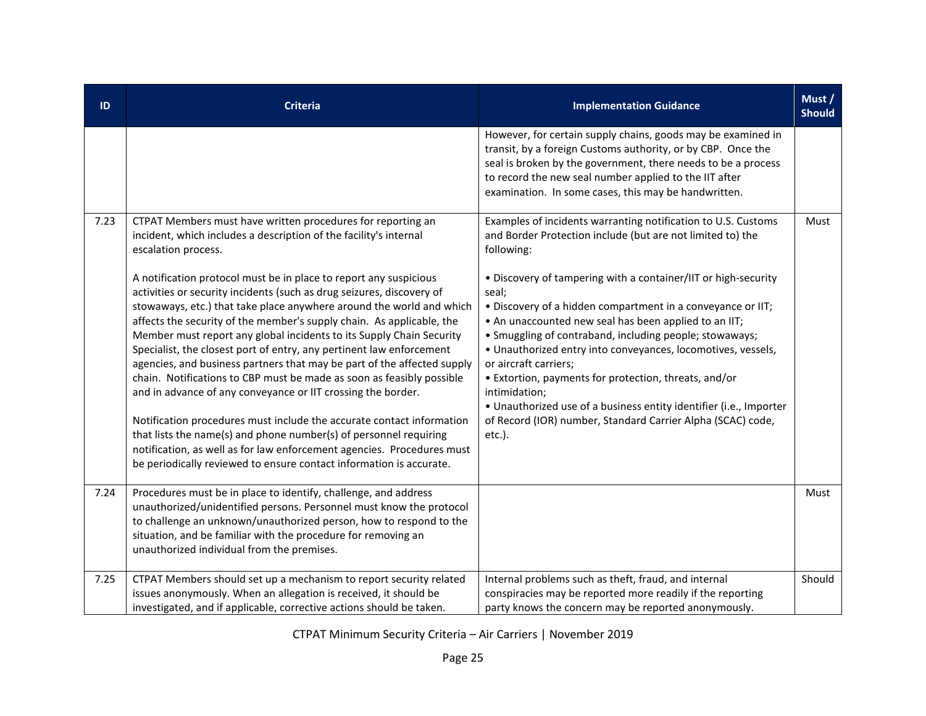| ID   | <b>Criteria</b>                                                                                                                                                                                                                                                                                                                                                                                                                                                                                                                                                                                                                                                                                                                                                                                                                                                                                                                                                | <b>Implementation Guidance</b>                                                                                                                                                                                                                                                                                                                                                                                                                                                                                                                                               | Must /<br><b>Should</b> |
|------|----------------------------------------------------------------------------------------------------------------------------------------------------------------------------------------------------------------------------------------------------------------------------------------------------------------------------------------------------------------------------------------------------------------------------------------------------------------------------------------------------------------------------------------------------------------------------------------------------------------------------------------------------------------------------------------------------------------------------------------------------------------------------------------------------------------------------------------------------------------------------------------------------------------------------------------------------------------|------------------------------------------------------------------------------------------------------------------------------------------------------------------------------------------------------------------------------------------------------------------------------------------------------------------------------------------------------------------------------------------------------------------------------------------------------------------------------------------------------------------------------------------------------------------------------|-------------------------|
|      |                                                                                                                                                                                                                                                                                                                                                                                                                                                                                                                                                                                                                                                                                                                                                                                                                                                                                                                                                                | However, for certain supply chains, goods may be examined in<br>transit, by a foreign Customs authority, or by CBP. Once the<br>seal is broken by the government, there needs to be a process<br>to record the new seal number applied to the IIT after<br>examination. In some cases, this may be handwritten.                                                                                                                                                                                                                                                              |                         |
| 7.23 | CTPAT Members must have written procedures for reporting an<br>incident, which includes a description of the facility's internal<br>escalation process.                                                                                                                                                                                                                                                                                                                                                                                                                                                                                                                                                                                                                                                                                                                                                                                                        | Examples of incidents warranting notification to U.S. Customs<br>and Border Protection include (but are not limited to) the<br>following:                                                                                                                                                                                                                                                                                                                                                                                                                                    | Must                    |
|      | A notification protocol must be in place to report any suspicious<br>activities or security incidents (such as drug seizures, discovery of<br>stowaways, etc.) that take place anywhere around the world and which<br>affects the security of the member's supply chain. As applicable, the<br>Member must report any global incidents to its Supply Chain Security<br>Specialist, the closest port of entry, any pertinent law enforcement<br>agencies, and business partners that may be part of the affected supply<br>chain. Notifications to CBP must be made as soon as feasibly possible<br>and in advance of any conveyance or IIT crossing the border.<br>Notification procedures must include the accurate contact information<br>that lists the name(s) and phone number(s) of personnel requiring<br>notification, as well as for law enforcement agencies. Procedures must<br>be periodically reviewed to ensure contact information is accurate. | • Discovery of tampering with a container/IIT or high-security<br>seal;<br>. Discovery of a hidden compartment in a conveyance or IIT;<br>• An unaccounted new seal has been applied to an IIT;<br>• Smuggling of contraband, including people; stowaways;<br>• Unauthorized entry into conveyances, locomotives, vessels,<br>or aircraft carriers;<br>• Extortion, payments for protection, threats, and/or<br>intimidation;<br>• Unauthorized use of a business entity identifier (i.e., Importer<br>of Record (IOR) number, Standard Carrier Alpha (SCAC) code,<br>etc.). |                         |
| 7.24 | Procedures must be in place to identify, challenge, and address<br>unauthorized/unidentified persons. Personnel must know the protocol<br>to challenge an unknown/unauthorized person, how to respond to the<br>situation, and be familiar with the procedure for removing an<br>unauthorized individual from the premises.                                                                                                                                                                                                                                                                                                                                                                                                                                                                                                                                                                                                                                    |                                                                                                                                                                                                                                                                                                                                                                                                                                                                                                                                                                              | Must                    |
| 7.25 | CTPAT Members should set up a mechanism to report security related<br>issues anonymously. When an allegation is received, it should be<br>investigated, and if applicable, corrective actions should be taken.                                                                                                                                                                                                                                                                                                                                                                                                                                                                                                                                                                                                                                                                                                                                                 | Internal problems such as theft, fraud, and internal<br>conspiracies may be reported more readily if the reporting<br>party knows the concern may be reported anonymously.                                                                                                                                                                                                                                                                                                                                                                                                   | Should                  |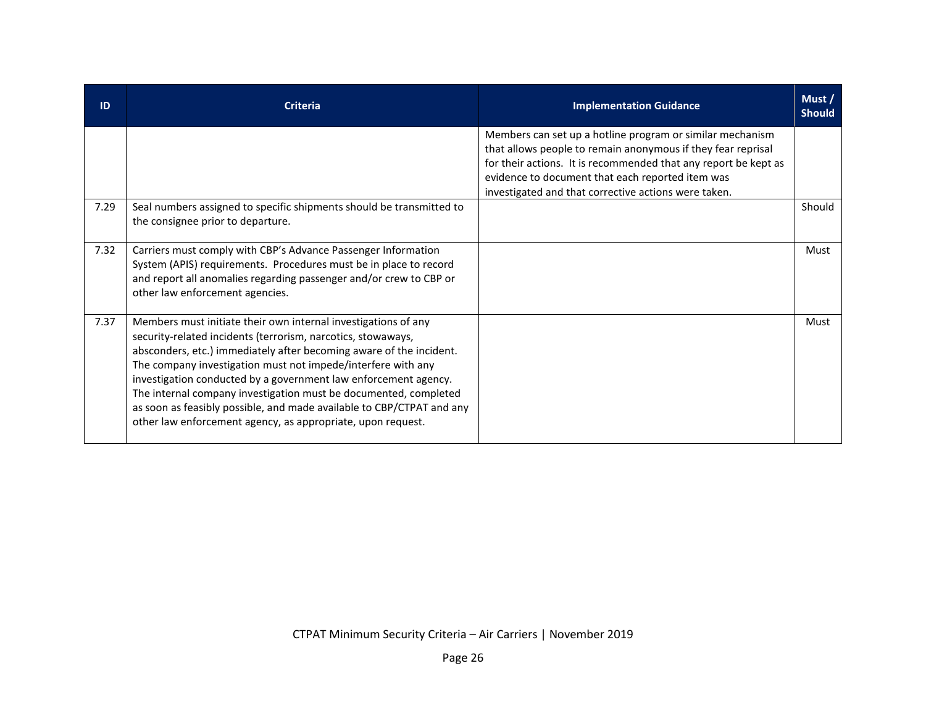| ID   | <b>Criteria</b>                                                                                                                                                                                                                                                                                                                                                                                                                                                                                                                                      | <b>Implementation Guidance</b>                                                                                                                                                                                                                                                                           | Must /<br><b>Should</b> |
|------|------------------------------------------------------------------------------------------------------------------------------------------------------------------------------------------------------------------------------------------------------------------------------------------------------------------------------------------------------------------------------------------------------------------------------------------------------------------------------------------------------------------------------------------------------|----------------------------------------------------------------------------------------------------------------------------------------------------------------------------------------------------------------------------------------------------------------------------------------------------------|-------------------------|
|      |                                                                                                                                                                                                                                                                                                                                                                                                                                                                                                                                                      | Members can set up a hotline program or similar mechanism<br>that allows people to remain anonymous if they fear reprisal<br>for their actions. It is recommended that any report be kept as<br>evidence to document that each reported item was<br>investigated and that corrective actions were taken. |                         |
| 7.29 | Seal numbers assigned to specific shipments should be transmitted to<br>the consignee prior to departure.                                                                                                                                                                                                                                                                                                                                                                                                                                            |                                                                                                                                                                                                                                                                                                          | Should                  |
| 7.32 | Carriers must comply with CBP's Advance Passenger Information<br>System (APIS) requirements. Procedures must be in place to record<br>and report all anomalies regarding passenger and/or crew to CBP or<br>other law enforcement agencies.                                                                                                                                                                                                                                                                                                          |                                                                                                                                                                                                                                                                                                          | Must                    |
| 7.37 | Members must initiate their own internal investigations of any<br>security-related incidents (terrorism, narcotics, stowaways,<br>absconders, etc.) immediately after becoming aware of the incident.<br>The company investigation must not impede/interfere with any<br>investigation conducted by a government law enforcement agency.<br>The internal company investigation must be documented, completed<br>as soon as feasibly possible, and made available to CBP/CTPAT and any<br>other law enforcement agency, as appropriate, upon request. |                                                                                                                                                                                                                                                                                                          | Must                    |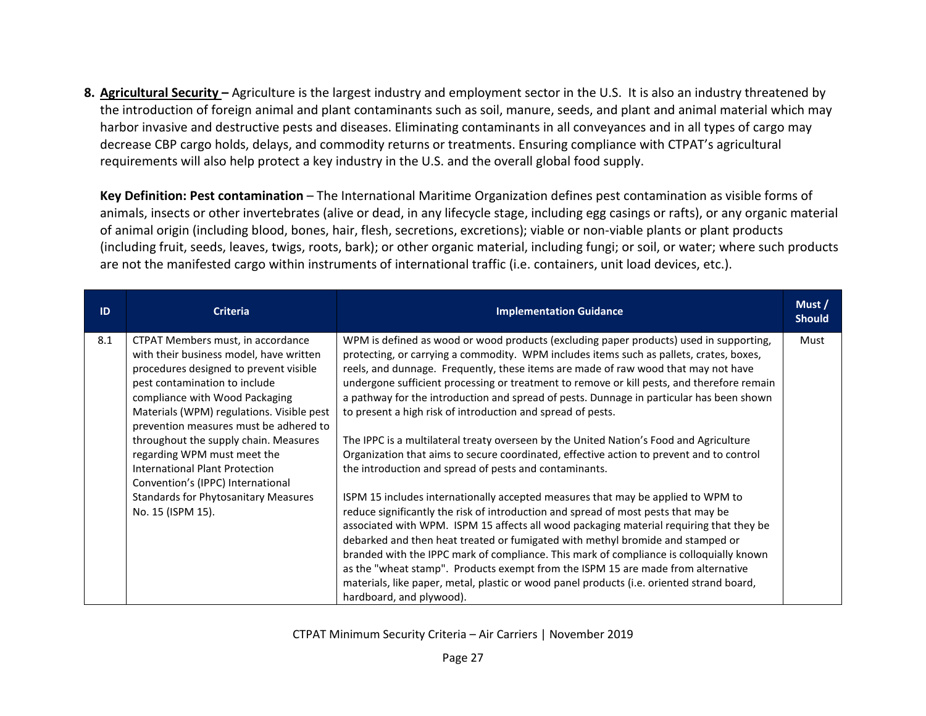**8. Agricultural Security –** Agriculture is the largest industry and employment sector in the U.S. It is also an industry threatened by the introduction of foreign animal and plant contaminants such as soil, manure, seeds, and plant and animal material which may harbor invasive and destructive pests and diseases. Eliminating contaminants in all conveyances and in all types of cargo may decrease CBP cargo holds, delays, and commodity returns or treatments. Ensuring compliance with CTPAT's agricultural requirements will also help protect a key industry in the U.S. and the overall global food supply.

**Key Definition: Pest contamination** – The International Maritime Organization defines pest contamination as visible forms of animals, insects or other invertebrates (alive or dead, in any lifecycle stage, including egg casings or rafts), or any organic material of animal origin (including blood, bones, hair, flesh, secretions, excretions); viable or non-viable plants or plant products (including fruit, seeds, leaves, twigs, roots, bark); or other organic material, including fungi; or soil, or water; where such products are not the manifested cargo within instruments of international traffic (i.e. containers, unit load devices, etc.).

| ID  | <b>Criteria</b>                                                                                                                                                                                                                                                                  | <b>Implementation Guidance</b>                                                                                                                                                                                                                                                                                                                                                                                                                                                                                                                                                                                                                              | Must/<br><b>Should</b> |
|-----|----------------------------------------------------------------------------------------------------------------------------------------------------------------------------------------------------------------------------------------------------------------------------------|-------------------------------------------------------------------------------------------------------------------------------------------------------------------------------------------------------------------------------------------------------------------------------------------------------------------------------------------------------------------------------------------------------------------------------------------------------------------------------------------------------------------------------------------------------------------------------------------------------------------------------------------------------------|------------------------|
| 8.1 | CTPAT Members must, in accordance<br>with their business model, have written<br>procedures designed to prevent visible<br>pest contamination to include<br>compliance with Wood Packaging<br>Materials (WPM) regulations. Visible pest<br>prevention measures must be adhered to | WPM is defined as wood or wood products (excluding paper products) used in supporting,<br>protecting, or carrying a commodity. WPM includes items such as pallets, crates, boxes,<br>reels, and dunnage. Frequently, these items are made of raw wood that may not have<br>undergone sufficient processing or treatment to remove or kill pests, and therefore remain<br>a pathway for the introduction and spread of pests. Dunnage in particular has been shown<br>to present a high risk of introduction and spread of pests.                                                                                                                            | Must                   |
|     | throughout the supply chain. Measures<br>regarding WPM must meet the<br>International Plant Protection<br>Convention's (IPPC) International                                                                                                                                      | The IPPC is a multilateral treaty overseen by the United Nation's Food and Agriculture<br>Organization that aims to secure coordinated, effective action to prevent and to control<br>the introduction and spread of pests and contaminants.                                                                                                                                                                                                                                                                                                                                                                                                                |                        |
|     | <b>Standards for Phytosanitary Measures</b><br>No. 15 (ISPM 15).                                                                                                                                                                                                                 | ISPM 15 includes internationally accepted measures that may be applied to WPM to<br>reduce significantly the risk of introduction and spread of most pests that may be<br>associated with WPM. ISPM 15 affects all wood packaging material requiring that they be<br>debarked and then heat treated or fumigated with methyl bromide and stamped or<br>branded with the IPPC mark of compliance. This mark of compliance is colloquially known<br>as the "wheat stamp". Products exempt from the ISPM 15 are made from alternative<br>materials, like paper, metal, plastic or wood panel products (i.e. oriented strand board,<br>hardboard, and plywood). |                        |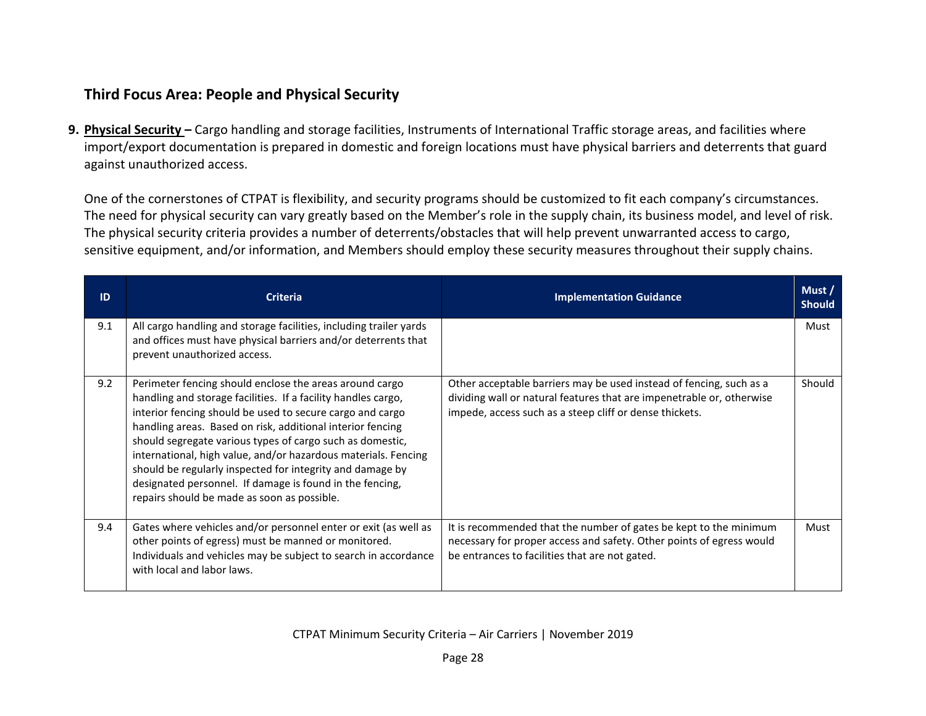## **Third Focus Area: People and Physical Security**

**9. Physical Security –** Cargo handling and storage facilities, Instruments of International Traffic storage areas, and facilities where import/export documentation is prepared in domestic and foreign locations must have physical barriers and deterrents that guard against unauthorized access.

One of the cornerstones of CTPAT is flexibility, and security programs should be customized to fit each company's circumstances. The need for physical security can vary greatly based on the Member's role in the supply chain, its business model, and level of risk. The physical security criteria provides a number of deterrents/obstacles that will help prevent unwarranted access to cargo, sensitive equipment, and/or information, and Members should employ these security measures throughout their supply chains.

| ID  | <b>Criteria</b>                                                                                                                                                                                                                                                                                                                                                                                                                                                                                                                                            | <b>Implementation Guidance</b>                                                                                                                                                                          | Must/<br><b>Should</b> |
|-----|------------------------------------------------------------------------------------------------------------------------------------------------------------------------------------------------------------------------------------------------------------------------------------------------------------------------------------------------------------------------------------------------------------------------------------------------------------------------------------------------------------------------------------------------------------|---------------------------------------------------------------------------------------------------------------------------------------------------------------------------------------------------------|------------------------|
| 9.1 | All cargo handling and storage facilities, including trailer yards<br>and offices must have physical barriers and/or deterrents that<br>prevent unauthorized access.                                                                                                                                                                                                                                                                                                                                                                                       |                                                                                                                                                                                                         | Must                   |
| 9.2 | Perimeter fencing should enclose the areas around cargo<br>handling and storage facilities. If a facility handles cargo,<br>interior fencing should be used to secure cargo and cargo<br>handling areas. Based on risk, additional interior fencing<br>should segregate various types of cargo such as domestic,<br>international, high value, and/or hazardous materials. Fencing<br>should be regularly inspected for integrity and damage by<br>designated personnel. If damage is found in the fencing,<br>repairs should be made as soon as possible. | Other acceptable barriers may be used instead of fencing, such as a<br>dividing wall or natural features that are impenetrable or, otherwise<br>impede, access such as a steep cliff or dense thickets. | Should                 |
| 9.4 | Gates where vehicles and/or personnel enter or exit (as well as<br>other points of egress) must be manned or monitored.<br>Individuals and vehicles may be subject to search in accordance<br>with local and labor laws.                                                                                                                                                                                                                                                                                                                                   | It is recommended that the number of gates be kept to the minimum<br>necessary for proper access and safety. Other points of egress would<br>be entrances to facilities that are not gated.             | Must                   |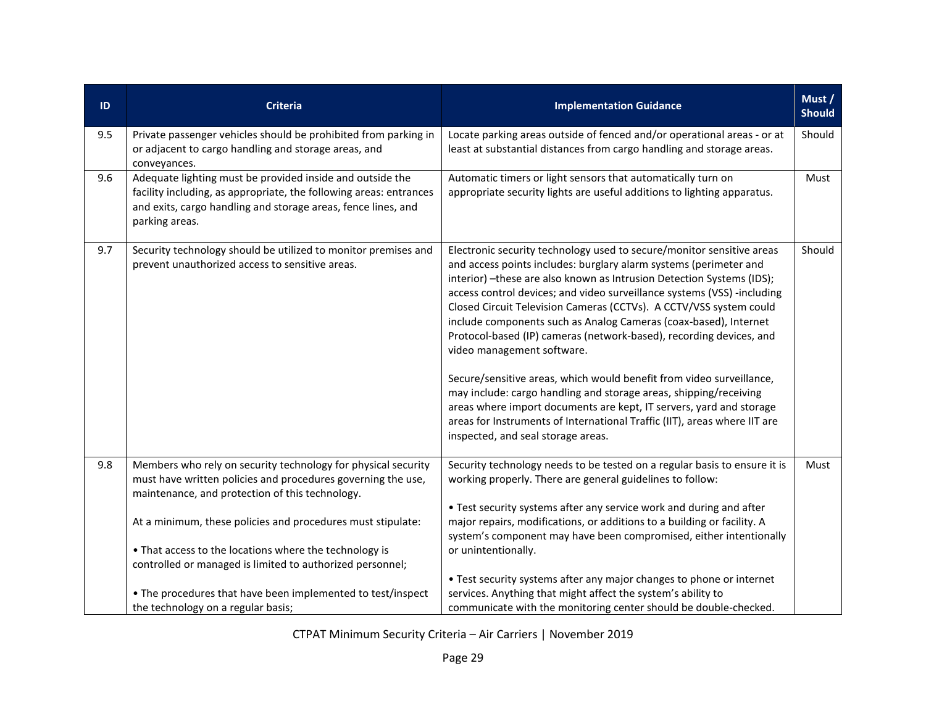| ID  | <b>Criteria</b>                                                                                                                                                                                                    | <b>Implementation Guidance</b>                                                                                                                                                                                                                                                                                                                                                                                                                                                                                                                                                                                                                                                                                                                                                                                                                                                        | Must /<br><b>Should</b> |
|-----|--------------------------------------------------------------------------------------------------------------------------------------------------------------------------------------------------------------------|---------------------------------------------------------------------------------------------------------------------------------------------------------------------------------------------------------------------------------------------------------------------------------------------------------------------------------------------------------------------------------------------------------------------------------------------------------------------------------------------------------------------------------------------------------------------------------------------------------------------------------------------------------------------------------------------------------------------------------------------------------------------------------------------------------------------------------------------------------------------------------------|-------------------------|
| 9.5 | Private passenger vehicles should be prohibited from parking in<br>or adjacent to cargo handling and storage areas, and<br>conveyances.                                                                            | Locate parking areas outside of fenced and/or operational areas - or at<br>least at substantial distances from cargo handling and storage areas.                                                                                                                                                                                                                                                                                                                                                                                                                                                                                                                                                                                                                                                                                                                                      | Should                  |
| 9.6 | Adequate lighting must be provided inside and outside the<br>facility including, as appropriate, the following areas: entrances<br>and exits, cargo handling and storage areas, fence lines, and<br>parking areas. | Automatic timers or light sensors that automatically turn on<br>appropriate security lights are useful additions to lighting apparatus.                                                                                                                                                                                                                                                                                                                                                                                                                                                                                                                                                                                                                                                                                                                                               | Must                    |
| 9.7 | Security technology should be utilized to monitor premises and<br>prevent unauthorized access to sensitive areas.                                                                                                  | Electronic security technology used to secure/monitor sensitive areas<br>and access points includes: burglary alarm systems (perimeter and<br>interior) - these are also known as Intrusion Detection Systems (IDS);<br>access control devices; and video surveillance systems (VSS) -including<br>Closed Circuit Television Cameras (CCTVs). A CCTV/VSS system could<br>include components such as Analog Cameras (coax-based), Internet<br>Protocol-based (IP) cameras (network-based), recording devices, and<br>video management software.<br>Secure/sensitive areas, which would benefit from video surveillance,<br>may include: cargo handling and storage areas, shipping/receiving<br>areas where import documents are kept, IT servers, yard and storage<br>areas for Instruments of International Traffic (IIT), areas where IIT are<br>inspected, and seal storage areas. | Should                  |
| 9.8 | Members who rely on security technology for physical security<br>must have written policies and procedures governing the use,<br>maintenance, and protection of this technology.                                   | Security technology needs to be tested on a regular basis to ensure it is<br>working properly. There are general guidelines to follow:                                                                                                                                                                                                                                                                                                                                                                                                                                                                                                                                                                                                                                                                                                                                                | Must                    |
|     | At a minimum, these policies and procedures must stipulate:                                                                                                                                                        | • Test security systems after any service work and during and after<br>major repairs, modifications, or additions to a building or facility. A<br>system's component may have been compromised, either intentionally                                                                                                                                                                                                                                                                                                                                                                                                                                                                                                                                                                                                                                                                  |                         |
|     | • That access to the locations where the technology is<br>controlled or managed is limited to authorized personnel;                                                                                                | or unintentionally.                                                                                                                                                                                                                                                                                                                                                                                                                                                                                                                                                                                                                                                                                                                                                                                                                                                                   |                         |
|     | • The procedures that have been implemented to test/inspect<br>the technology on a regular basis;                                                                                                                  | • Test security systems after any major changes to phone or internet<br>services. Anything that might affect the system's ability to<br>communicate with the monitoring center should be double-checked.                                                                                                                                                                                                                                                                                                                                                                                                                                                                                                                                                                                                                                                                              |                         |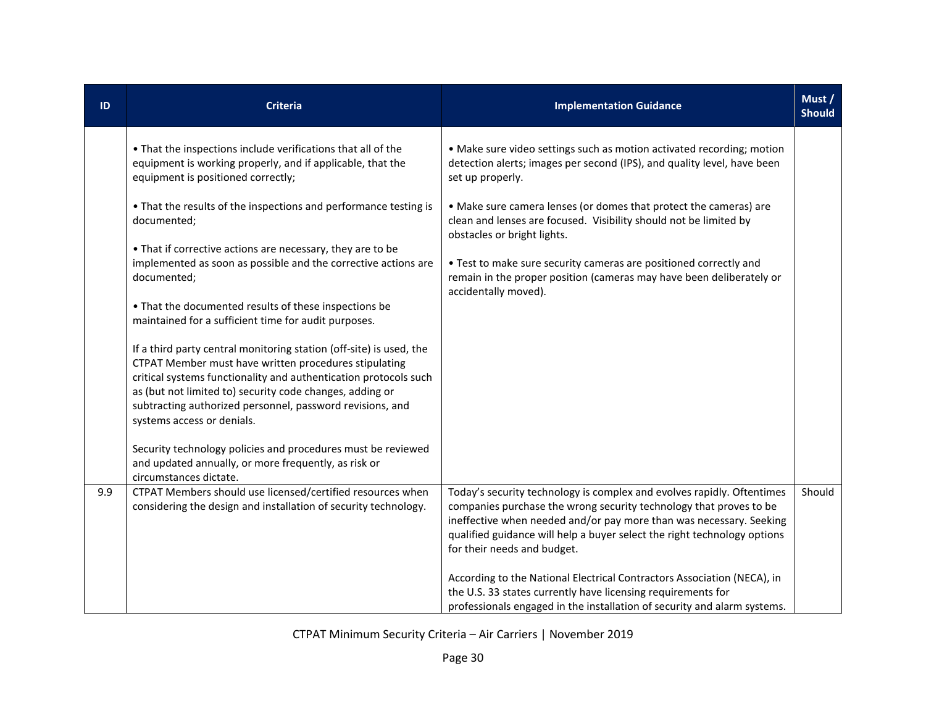| ID  | <b>Criteria</b>                                                                                                                                                                                                                                                                                                                                         | <b>Implementation Guidance</b>                                                                                                                                                                                                                                                                                                 | Must /<br><b>Should</b> |
|-----|---------------------------------------------------------------------------------------------------------------------------------------------------------------------------------------------------------------------------------------------------------------------------------------------------------------------------------------------------------|--------------------------------------------------------------------------------------------------------------------------------------------------------------------------------------------------------------------------------------------------------------------------------------------------------------------------------|-------------------------|
|     | . That the inspections include verifications that all of the<br>equipment is working properly, and if applicable, that the<br>equipment is positioned correctly;                                                                                                                                                                                        | • Make sure video settings such as motion activated recording; motion<br>detection alerts; images per second (IPS), and quality level, have been<br>set up properly.                                                                                                                                                           |                         |
|     | • That the results of the inspections and performance testing is<br>documented;                                                                                                                                                                                                                                                                         | • Make sure camera lenses (or domes that protect the cameras) are<br>clean and lenses are focused. Visibility should not be limited by<br>obstacles or bright lights.                                                                                                                                                          |                         |
|     | • That if corrective actions are necessary, they are to be<br>implemented as soon as possible and the corrective actions are<br>documented;                                                                                                                                                                                                             | • Test to make sure security cameras are positioned correctly and<br>remain in the proper position (cameras may have been deliberately or<br>accidentally moved).                                                                                                                                                              |                         |
|     | • That the documented results of these inspections be<br>maintained for a sufficient time for audit purposes.                                                                                                                                                                                                                                           |                                                                                                                                                                                                                                                                                                                                |                         |
|     | If a third party central monitoring station (off-site) is used, the<br>CTPAT Member must have written procedures stipulating<br>critical systems functionality and authentication protocols such<br>as (but not limited to) security code changes, adding or<br>subtracting authorized personnel, password revisions, and<br>systems access or denials. |                                                                                                                                                                                                                                                                                                                                |                         |
|     | Security technology policies and procedures must be reviewed<br>and updated annually, or more frequently, as risk or<br>circumstances dictate.                                                                                                                                                                                                          |                                                                                                                                                                                                                                                                                                                                |                         |
| 9.9 | CTPAT Members should use licensed/certified resources when<br>considering the design and installation of security technology.                                                                                                                                                                                                                           | Today's security technology is complex and evolves rapidly. Oftentimes<br>companies purchase the wrong security technology that proves to be<br>ineffective when needed and/or pay more than was necessary. Seeking<br>qualified guidance will help a buyer select the right technology options<br>for their needs and budget. | Should                  |
|     |                                                                                                                                                                                                                                                                                                                                                         | According to the National Electrical Contractors Association (NECA), in<br>the U.S. 33 states currently have licensing requirements for<br>professionals engaged in the installation of security and alarm systems.                                                                                                            |                         |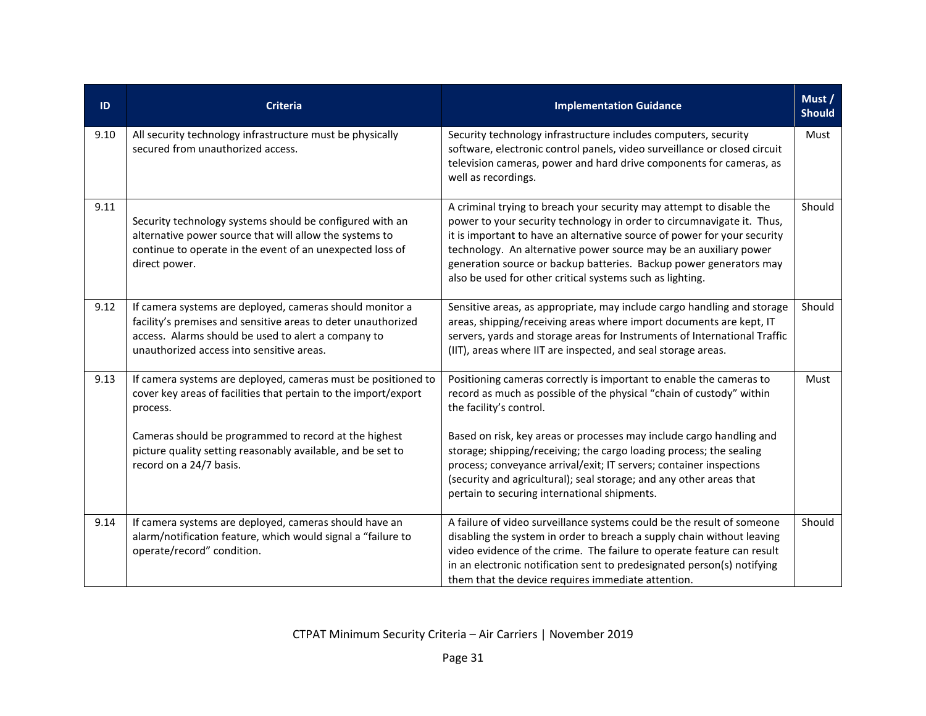| ID   | <b>Criteria</b>                                                                                                                                                                                                                                                                                 | <b>Implementation Guidance</b>                                                                                                                                                                                                                                                                                                                                                                                                     | Must /<br><b>Should</b> |
|------|-------------------------------------------------------------------------------------------------------------------------------------------------------------------------------------------------------------------------------------------------------------------------------------------------|------------------------------------------------------------------------------------------------------------------------------------------------------------------------------------------------------------------------------------------------------------------------------------------------------------------------------------------------------------------------------------------------------------------------------------|-------------------------|
| 9.10 | All security technology infrastructure must be physically<br>secured from unauthorized access.                                                                                                                                                                                                  | Security technology infrastructure includes computers, security<br>software, electronic control panels, video surveillance or closed circuit<br>television cameras, power and hard drive components for cameras, as<br>well as recordings.                                                                                                                                                                                         | Must                    |
| 9.11 | Security technology systems should be configured with an<br>alternative power source that will allow the systems to<br>continue to operate in the event of an unexpected loss of<br>direct power.                                                                                               | A criminal trying to breach your security may attempt to disable the<br>power to your security technology in order to circumnavigate it. Thus,<br>it is important to have an alternative source of power for your security<br>technology. An alternative power source may be an auxiliary power<br>generation source or backup batteries. Backup power generators may<br>also be used for other critical systems such as lighting. | Should                  |
| 9.12 | If camera systems are deployed, cameras should monitor a<br>facility's premises and sensitive areas to deter unauthorized<br>access. Alarms should be used to alert a company to<br>unauthorized access into sensitive areas.                                                                   | Sensitive areas, as appropriate, may include cargo handling and storage<br>areas, shipping/receiving areas where import documents are kept, IT<br>servers, yards and storage areas for Instruments of International Traffic<br>(IIT), areas where IIT are inspected, and seal storage areas.                                                                                                                                       | Should                  |
| 9.13 | If camera systems are deployed, cameras must be positioned to<br>cover key areas of facilities that pertain to the import/export<br>process.<br>Cameras should be programmed to record at the highest<br>picture quality setting reasonably available, and be set to<br>record on a 24/7 basis. | Positioning cameras correctly is important to enable the cameras to<br>record as much as possible of the physical "chain of custody" within<br>the facility's control.<br>Based on risk, key areas or processes may include cargo handling and<br>storage; shipping/receiving; the cargo loading process; the sealing<br>process; conveyance arrival/exit; IT servers; container inspections                                       | Must                    |
|      |                                                                                                                                                                                                                                                                                                 | (security and agricultural); seal storage; and any other areas that<br>pertain to securing international shipments.                                                                                                                                                                                                                                                                                                                |                         |
| 9.14 | If camera systems are deployed, cameras should have an<br>alarm/notification feature, which would signal a "failure to<br>operate/record" condition.                                                                                                                                            | A failure of video surveillance systems could be the result of someone<br>disabling the system in order to breach a supply chain without leaving<br>video evidence of the crime. The failure to operate feature can result<br>in an electronic notification sent to predesignated person(s) notifying<br>them that the device requires immediate attention.                                                                        | Should                  |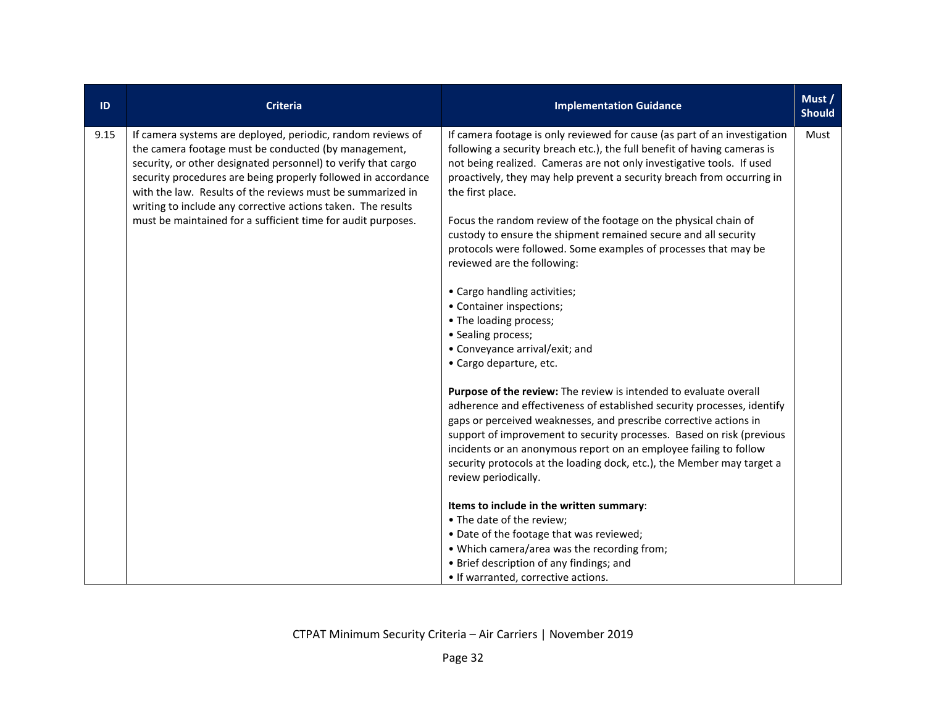| ID   | Criteria                                                                                                                                                                                                                                                                                                                                                                                                                                            | <b>Implementation Guidance</b>                                                                                                                                                                                                                                                                                                                                                                                                                                                                                                                                                                                                                                                                                                                | Must /<br><b>Should</b> |
|------|-----------------------------------------------------------------------------------------------------------------------------------------------------------------------------------------------------------------------------------------------------------------------------------------------------------------------------------------------------------------------------------------------------------------------------------------------------|-----------------------------------------------------------------------------------------------------------------------------------------------------------------------------------------------------------------------------------------------------------------------------------------------------------------------------------------------------------------------------------------------------------------------------------------------------------------------------------------------------------------------------------------------------------------------------------------------------------------------------------------------------------------------------------------------------------------------------------------------|-------------------------|
| 9.15 | If camera systems are deployed, periodic, random reviews of<br>the camera footage must be conducted (by management,<br>security, or other designated personnel) to verify that cargo<br>security procedures are being properly followed in accordance<br>with the law. Results of the reviews must be summarized in<br>writing to include any corrective actions taken. The results<br>must be maintained for a sufficient time for audit purposes. | If camera footage is only reviewed for cause (as part of an investigation<br>following a security breach etc.), the full benefit of having cameras is<br>not being realized. Cameras are not only investigative tools. If used<br>proactively, they may help prevent a security breach from occurring in<br>the first place.<br>Focus the random review of the footage on the physical chain of<br>custody to ensure the shipment remained secure and all security<br>protocols were followed. Some examples of processes that may be<br>reviewed are the following:<br>• Cargo handling activities;<br>• Container inspections;<br>• The loading process;<br>• Sealing process;<br>• Conveyance arrival/exit; and<br>• Cargo departure, etc. | Must                    |
|      |                                                                                                                                                                                                                                                                                                                                                                                                                                                     | Purpose of the review: The review is intended to evaluate overall<br>adherence and effectiveness of established security processes, identify<br>gaps or perceived weaknesses, and prescribe corrective actions in<br>support of improvement to security processes. Based on risk (previous<br>incidents or an anonymous report on an employee failing to follow<br>security protocols at the loading dock, etc.), the Member may target a<br>review periodically.<br>Items to include in the written summary:<br>• The date of the review;<br>. Date of the footage that was reviewed;<br>• Which camera/area was the recording from;<br>• Brief description of any findings; and<br>• If warranted, corrective actions.                      |                         |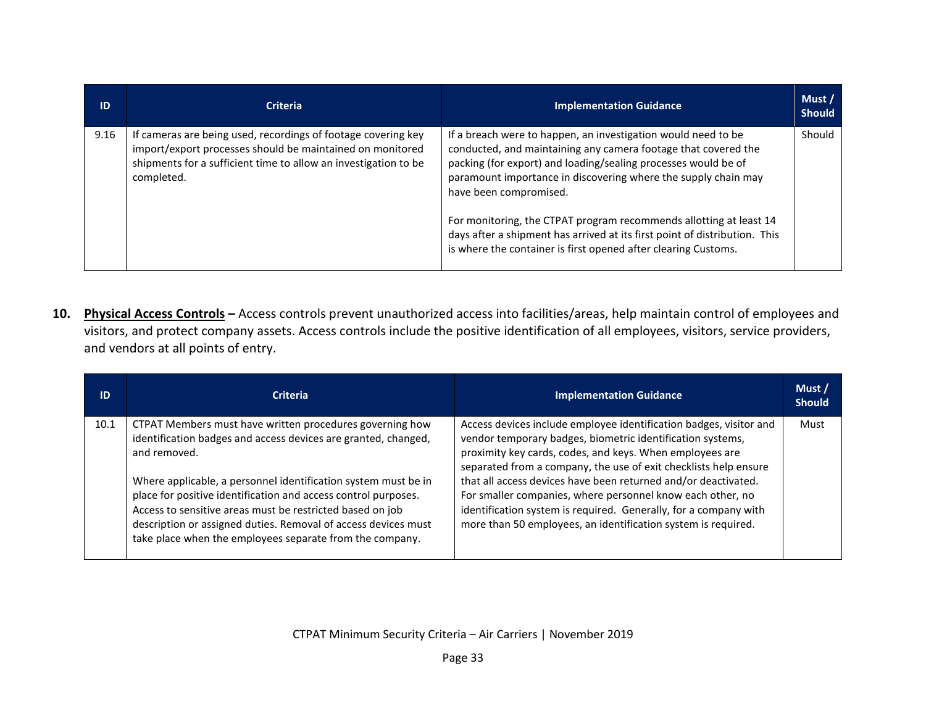| ID   | <b>Criteria</b>                                                                                                                                                                                             | <b>Implementation Guidance</b>                                                                                                                                                                                                                                                                                                                                                                                                                                                                                      | Must /<br><b>Should</b> |
|------|-------------------------------------------------------------------------------------------------------------------------------------------------------------------------------------------------------------|---------------------------------------------------------------------------------------------------------------------------------------------------------------------------------------------------------------------------------------------------------------------------------------------------------------------------------------------------------------------------------------------------------------------------------------------------------------------------------------------------------------------|-------------------------|
| 9.16 | If cameras are being used, recordings of footage covering key<br>import/export processes should be maintained on monitored<br>shipments for a sufficient time to allow an investigation to be<br>completed. | If a breach were to happen, an investigation would need to be<br>conducted, and maintaining any camera footage that covered the<br>packing (for export) and loading/sealing processes would be of<br>paramount importance in discovering where the supply chain may<br>have been compromised.<br>For monitoring, the CTPAT program recommends allotting at least 14<br>days after a shipment has arrived at its first point of distribution. This<br>is where the container is first opened after clearing Customs. | Should                  |

**10. Physical Access Controls –** Access controls prevent unauthorized access into facilities/areas, help maintain control of employees and visitors, and protect company assets. Access controls include the positive identification of all employees, visitors, service providers, and vendors at all points of entry.

| ID   | <b>Criteria</b>                                                                                                                                                                                                                                                                                                                                                                                                                                                           | <b>Implementation Guidance</b>                                                                                                                                                                                                                                                                                                                                                                                                                                                                                                        | Must/<br><b>Should</b> |
|------|---------------------------------------------------------------------------------------------------------------------------------------------------------------------------------------------------------------------------------------------------------------------------------------------------------------------------------------------------------------------------------------------------------------------------------------------------------------------------|---------------------------------------------------------------------------------------------------------------------------------------------------------------------------------------------------------------------------------------------------------------------------------------------------------------------------------------------------------------------------------------------------------------------------------------------------------------------------------------------------------------------------------------|------------------------|
| 10.1 | CTPAT Members must have written procedures governing how<br>identification badges and access devices are granted, changed,<br>and removed.<br>Where applicable, a personnel identification system must be in<br>place for positive identification and access control purposes.<br>Access to sensitive areas must be restricted based on job<br>description or assigned duties. Removal of access devices must<br>take place when the employees separate from the company. | Access devices include employee identification badges, visitor and<br>vendor temporary badges, biometric identification systems,<br>proximity key cards, codes, and keys. When employees are<br>separated from a company, the use of exit checklists help ensure<br>that all access devices have been returned and/or deactivated.<br>For smaller companies, where personnel know each other, no<br>identification system is required. Generally, for a company with<br>more than 50 employees, an identification system is required. | Must                   |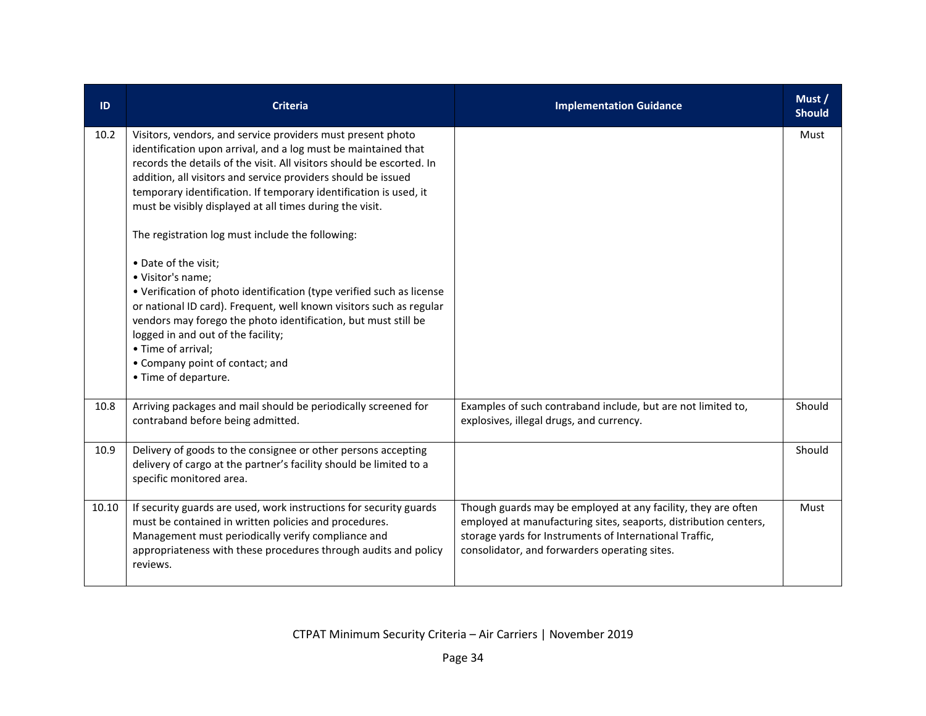| ID    | <b>Criteria</b>                                                                                                                                                                                                                                                                                                                                                                                                                                                                                                                                                                                                                                                                                                                                                                                                                                    | <b>Implementation Guidance</b>                                                                                                                                                                                                                | Must /<br><b>Should</b> |
|-------|----------------------------------------------------------------------------------------------------------------------------------------------------------------------------------------------------------------------------------------------------------------------------------------------------------------------------------------------------------------------------------------------------------------------------------------------------------------------------------------------------------------------------------------------------------------------------------------------------------------------------------------------------------------------------------------------------------------------------------------------------------------------------------------------------------------------------------------------------|-----------------------------------------------------------------------------------------------------------------------------------------------------------------------------------------------------------------------------------------------|-------------------------|
| 10.2  | Visitors, vendors, and service providers must present photo<br>identification upon arrival, and a log must be maintained that<br>records the details of the visit. All visitors should be escorted. In<br>addition, all visitors and service providers should be issued<br>temporary identification. If temporary identification is used, it<br>must be visibly displayed at all times during the visit.<br>The registration log must include the following:<br>• Date of the visit;<br>· Visitor's name;<br>• Verification of photo identification (type verified such as license<br>or national ID card). Frequent, well known visitors such as regular<br>vendors may forego the photo identification, but must still be<br>logged in and out of the facility;<br>• Time of arrival;<br>• Company point of contact; and<br>• Time of departure. |                                                                                                                                                                                                                                               | Must                    |
| 10.8  | Arriving packages and mail should be periodically screened for<br>contraband before being admitted.                                                                                                                                                                                                                                                                                                                                                                                                                                                                                                                                                                                                                                                                                                                                                | Examples of such contraband include, but are not limited to,<br>explosives, illegal drugs, and currency.                                                                                                                                      | Should                  |
| 10.9  | Delivery of goods to the consignee or other persons accepting<br>delivery of cargo at the partner's facility should be limited to a<br>specific monitored area.                                                                                                                                                                                                                                                                                                                                                                                                                                                                                                                                                                                                                                                                                    |                                                                                                                                                                                                                                               | Should                  |
| 10.10 | If security guards are used, work instructions for security guards<br>must be contained in written policies and procedures.<br>Management must periodically verify compliance and<br>appropriateness with these procedures through audits and policy<br>reviews.                                                                                                                                                                                                                                                                                                                                                                                                                                                                                                                                                                                   | Though guards may be employed at any facility, they are often<br>employed at manufacturing sites, seaports, distribution centers,<br>storage yards for Instruments of International Traffic,<br>consolidator, and forwarders operating sites. | Must                    |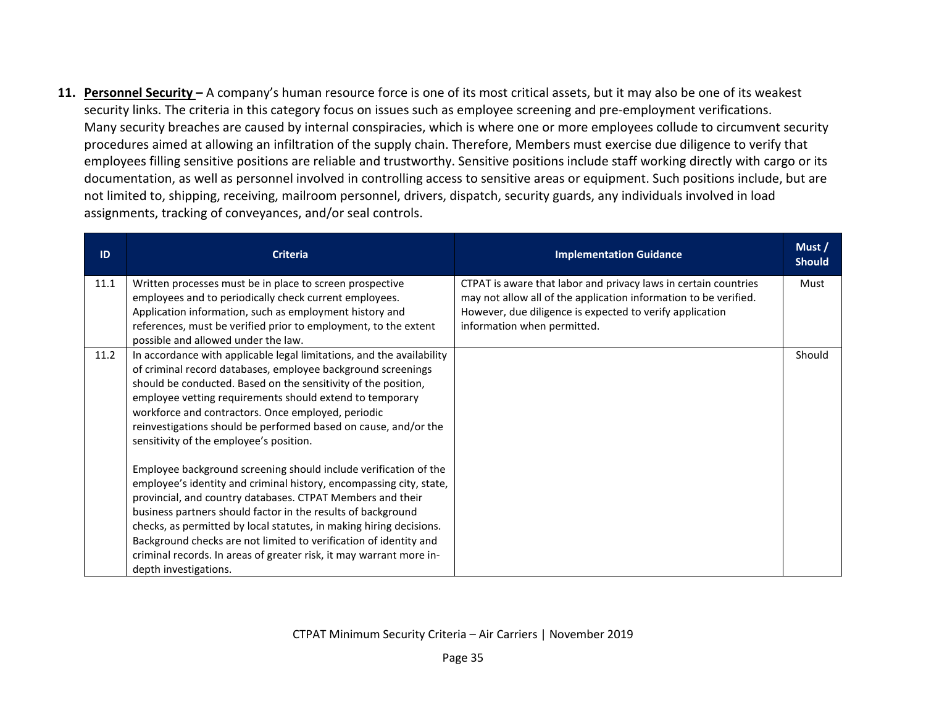**11. Personnel Security –** A company's human resource force is one of its most critical assets, but it may also be one of its weakest security links. The criteria in this category focus on issues such as employee screening and pre-employment verifications. Many security breaches are caused by internal conspiracies, which is where one or more employees collude to circumvent security procedures aimed at allowing an infiltration of the supply chain. Therefore, Members must exercise due diligence to verify that employees filling sensitive positions are reliable and trustworthy. Sensitive positions include staff working directly with cargo or its documentation, as well as personnel involved in controlling access to sensitive areas or equipment. Such positions include, but are not limited to, shipping, receiving, mailroom personnel, drivers, dispatch, security guards, any individuals involved in load assignments, tracking of conveyances, and/or seal controls.

| ID   | <b>Criteria</b>                                                                                                                                                                                                                                                                                                                                                                                                                                                                                                                                                                                                                                                                                                                                                                                                                                                                                                                                              | <b>Implementation Guidance</b>                                                                                                                                                                                                 | Must/<br><b>Should</b> |
|------|--------------------------------------------------------------------------------------------------------------------------------------------------------------------------------------------------------------------------------------------------------------------------------------------------------------------------------------------------------------------------------------------------------------------------------------------------------------------------------------------------------------------------------------------------------------------------------------------------------------------------------------------------------------------------------------------------------------------------------------------------------------------------------------------------------------------------------------------------------------------------------------------------------------------------------------------------------------|--------------------------------------------------------------------------------------------------------------------------------------------------------------------------------------------------------------------------------|------------------------|
| 11.1 | Written processes must be in place to screen prospective<br>employees and to periodically check current employees.<br>Application information, such as employment history and<br>references, must be verified prior to employment, to the extent<br>possible and allowed under the law.                                                                                                                                                                                                                                                                                                                                                                                                                                                                                                                                                                                                                                                                      | CTPAT is aware that labor and privacy laws in certain countries<br>may not allow all of the application information to be verified.<br>However, due diligence is expected to verify application<br>information when permitted. | Must                   |
| 11.2 | In accordance with applicable legal limitations, and the availability<br>of criminal record databases, employee background screenings<br>should be conducted. Based on the sensitivity of the position,<br>employee vetting requirements should extend to temporary<br>workforce and contractors. Once employed, periodic<br>reinvestigations should be performed based on cause, and/or the<br>sensitivity of the employee's position.<br>Employee background screening should include verification of the<br>employee's identity and criminal history, encompassing city, state,<br>provincial, and country databases. CTPAT Members and their<br>business partners should factor in the results of background<br>checks, as permitted by local statutes, in making hiring decisions.<br>Background checks are not limited to verification of identity and<br>criminal records. In areas of greater risk, it may warrant more in-<br>depth investigations. |                                                                                                                                                                                                                                | Should                 |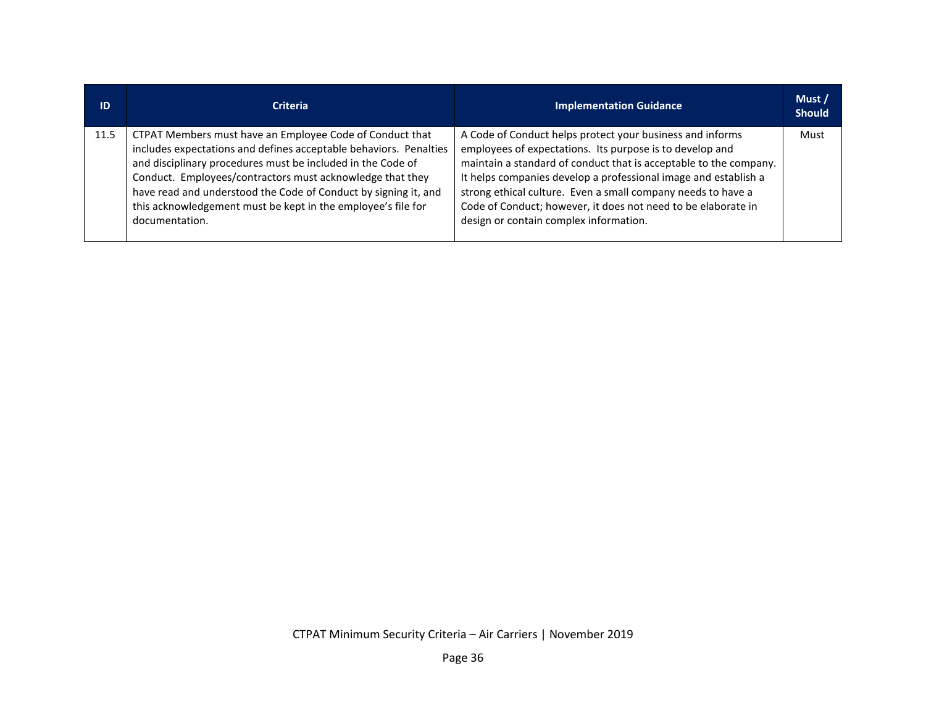| ID   | <b>Criteria</b>                                                                                                                                                                                                                                                                                                                                                                                                | <b>Implementation Guidance</b>                                                                                                                                                                                                                                                                                                                                                                                                           | Must /<br><b>Should</b> |
|------|----------------------------------------------------------------------------------------------------------------------------------------------------------------------------------------------------------------------------------------------------------------------------------------------------------------------------------------------------------------------------------------------------------------|------------------------------------------------------------------------------------------------------------------------------------------------------------------------------------------------------------------------------------------------------------------------------------------------------------------------------------------------------------------------------------------------------------------------------------------|-------------------------|
| 11.5 | CTPAT Members must have an Employee Code of Conduct that<br>includes expectations and defines acceptable behaviors. Penalties<br>and disciplinary procedures must be included in the Code of<br>Conduct. Employees/contractors must acknowledge that they<br>have read and understood the Code of Conduct by signing it, and<br>this acknowledgement must be kept in the employee's file for<br>documentation. | A Code of Conduct helps protect your business and informs<br>employees of expectations. Its purpose is to develop and<br>maintain a standard of conduct that is acceptable to the company.<br>It helps companies develop a professional image and establish a<br>strong ethical culture. Even a small company needs to have a<br>Code of Conduct; however, it does not need to be elaborate in<br>design or contain complex information. | Must                    |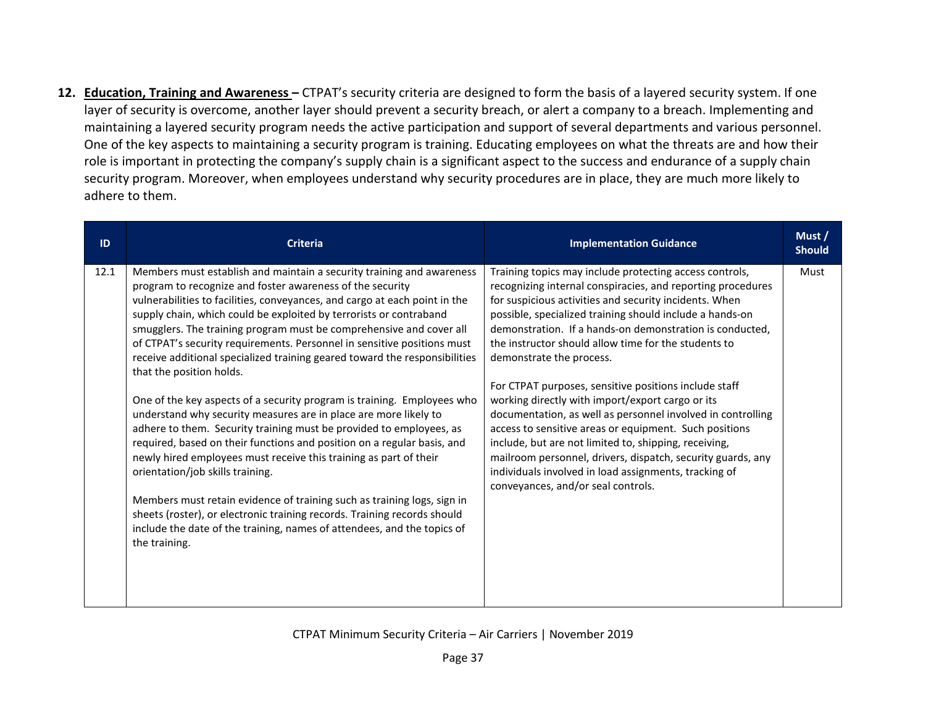**12. Education, Training and Awareness –** CTPAT's security criteria are designed to form the basis of a layered security system. If one layer of security is overcome, another layer should prevent a security breach, or alert a company to a breach. Implementing and maintaining a layered security program needs the active participation and support of several departments and various personnel. One of the key aspects to maintaining a security program is training. Educating employees on what the threats are and how their role is important in protecting the company's supply chain is a significant aspect to the success and endurance of a supply chain security program. Moreover, when employees understand why security procedures are in place, they are much more likely to adhere to them.

| ID   | <b>Criteria</b>                                                                                                                                                                                                                                                                                                                                                                                                                                                                                                                                                                                                                                                                                                                                                                                                                                                                                                                                                                                                                                                                                                                                                                                                 | <b>Implementation Guidance</b>                                                                                                                                                                                                                                                                                                                                                                                                                                                                                                                                                                                                                                                                                                                                                                                                                            | Must /<br><b>Should</b> |
|------|-----------------------------------------------------------------------------------------------------------------------------------------------------------------------------------------------------------------------------------------------------------------------------------------------------------------------------------------------------------------------------------------------------------------------------------------------------------------------------------------------------------------------------------------------------------------------------------------------------------------------------------------------------------------------------------------------------------------------------------------------------------------------------------------------------------------------------------------------------------------------------------------------------------------------------------------------------------------------------------------------------------------------------------------------------------------------------------------------------------------------------------------------------------------------------------------------------------------|-----------------------------------------------------------------------------------------------------------------------------------------------------------------------------------------------------------------------------------------------------------------------------------------------------------------------------------------------------------------------------------------------------------------------------------------------------------------------------------------------------------------------------------------------------------------------------------------------------------------------------------------------------------------------------------------------------------------------------------------------------------------------------------------------------------------------------------------------------------|-------------------------|
| 12.1 | Members must establish and maintain a security training and awareness<br>program to recognize and foster awareness of the security<br>vulnerabilities to facilities, conveyances, and cargo at each point in the<br>supply chain, which could be exploited by terrorists or contraband<br>smugglers. The training program must be comprehensive and cover all<br>of CTPAT's security requirements. Personnel in sensitive positions must<br>receive additional specialized training geared toward the responsibilities<br>that the position holds.<br>One of the key aspects of a security program is training. Employees who<br>understand why security measures are in place are more likely to<br>adhere to them. Security training must be provided to employees, as<br>required, based on their functions and position on a regular basis, and<br>newly hired employees must receive this training as part of their<br>orientation/job skills training.<br>Members must retain evidence of training such as training logs, sign in<br>sheets (roster), or electronic training records. Training records should<br>include the date of the training, names of attendees, and the topics of<br>the training. | Training topics may include protecting access controls,<br>recognizing internal conspiracies, and reporting procedures<br>for suspicious activities and security incidents. When<br>possible, specialized training should include a hands-on<br>demonstration. If a hands-on demonstration is conducted,<br>the instructor should allow time for the students to<br>demonstrate the process.<br>For CTPAT purposes, sensitive positions include staff<br>working directly with import/export cargo or its<br>documentation, as well as personnel involved in controlling<br>access to sensitive areas or equipment. Such positions<br>include, but are not limited to, shipping, receiving,<br>mailroom personnel, drivers, dispatch, security guards, any<br>individuals involved in load assignments, tracking of<br>conveyances, and/or seal controls. | Must                    |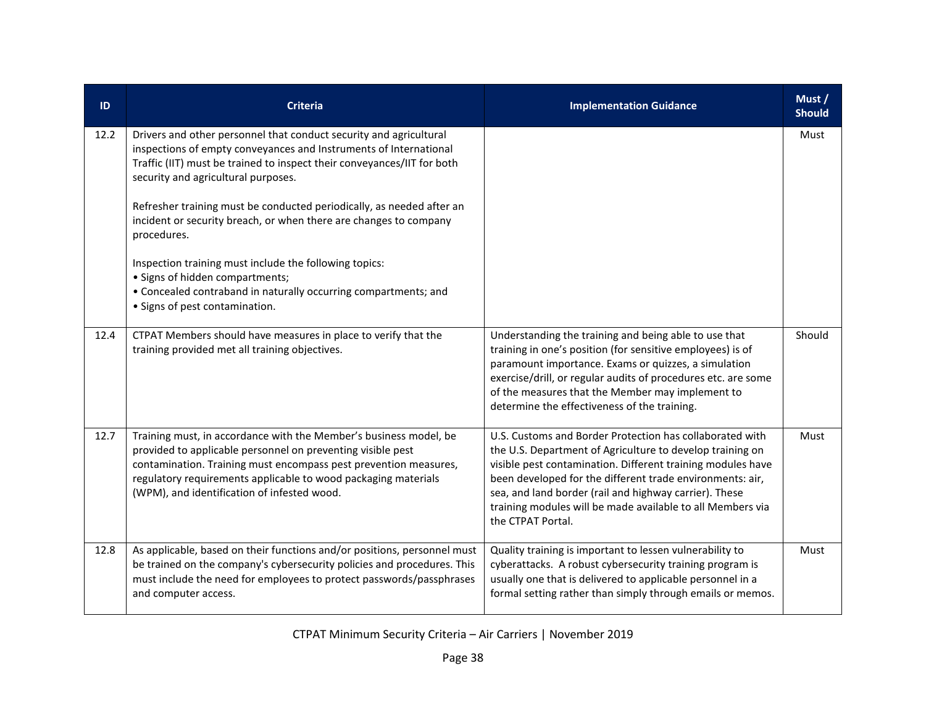| ID   | <b>Criteria</b>                                                                                                                                                                                                                                                                                                                                                                                                                                                                                                                                                                                                          | <b>Implementation Guidance</b>                                                                                                                                                                                                                                                                                                                                                                 | Must /<br><b>Should</b> |
|------|--------------------------------------------------------------------------------------------------------------------------------------------------------------------------------------------------------------------------------------------------------------------------------------------------------------------------------------------------------------------------------------------------------------------------------------------------------------------------------------------------------------------------------------------------------------------------------------------------------------------------|------------------------------------------------------------------------------------------------------------------------------------------------------------------------------------------------------------------------------------------------------------------------------------------------------------------------------------------------------------------------------------------------|-------------------------|
| 12.2 | Drivers and other personnel that conduct security and agricultural<br>inspections of empty conveyances and Instruments of International<br>Traffic (IIT) must be trained to inspect their conveyances/IIT for both<br>security and agricultural purposes.<br>Refresher training must be conducted periodically, as needed after an<br>incident or security breach, or when there are changes to company<br>procedures.<br>Inspection training must include the following topics:<br>· Signs of hidden compartments;<br>• Concealed contraband in naturally occurring compartments; and<br>• Signs of pest contamination. |                                                                                                                                                                                                                                                                                                                                                                                                | Must                    |
| 12.4 | CTPAT Members should have measures in place to verify that the<br>training provided met all training objectives.                                                                                                                                                                                                                                                                                                                                                                                                                                                                                                         | Understanding the training and being able to use that<br>training in one's position (for sensitive employees) is of<br>paramount importance. Exams or quizzes, a simulation<br>exercise/drill, or regular audits of procedures etc. are some<br>of the measures that the Member may implement to<br>determine the effectiveness of the training.                                               | Should                  |
| 12.7 | Training must, in accordance with the Member's business model, be<br>provided to applicable personnel on preventing visible pest<br>contamination. Training must encompass pest prevention measures,<br>regulatory requirements applicable to wood packaging materials<br>(WPM), and identification of infested wood.                                                                                                                                                                                                                                                                                                    | U.S. Customs and Border Protection has collaborated with<br>the U.S. Department of Agriculture to develop training on<br>visible pest contamination. Different training modules have<br>been developed for the different trade environments: air,<br>sea, and land border (rail and highway carrier). These<br>training modules will be made available to all Members via<br>the CTPAT Portal. | Must                    |
| 12.8 | As applicable, based on their functions and/or positions, personnel must<br>be trained on the company's cybersecurity policies and procedures. This<br>must include the need for employees to protect passwords/passphrases<br>and computer access.                                                                                                                                                                                                                                                                                                                                                                      | Quality training is important to lessen vulnerability to<br>cyberattacks. A robust cybersecurity training program is<br>usually one that is delivered to applicable personnel in a<br>formal setting rather than simply through emails or memos.                                                                                                                                               | Must                    |